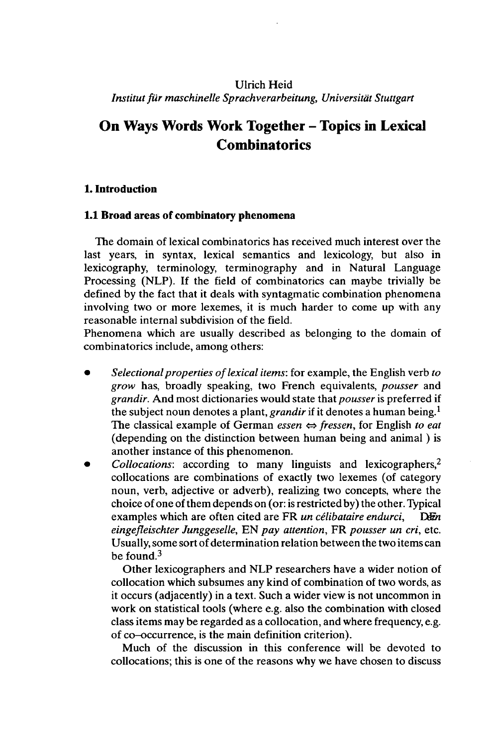# Ulrich Heid *Institutfür maschinelle Sprachverarbeitung, Universität Stuttgart*

# **On Ways Words Work Together - Topics in Lexical Combinatorics**

# **1. Introduction**

#### **1.1 Broad areas of combinatory phenomena**

The domain of lexical combinatorics has received much interest over the last years, in syntax, lexical semantics and lexicology, but also in lexicography, terminology, terminography and in Natural Language Processing (NLP). If the field of combinatorics can maybe trivially be defined by the fact that it deals with syntagmatic combination phenomena involving two or more lexemes, it is much harder to come up with any reasonable internal subdivision of the field.

Phenomena which are usually described as belonging to the domain of combinatorics include, among others:

- *Selectionalproperties oflexical items:* for example, the English verb *to grow* has, broadly speaking, two French equivalents, *pousser* and *grandir.* And most dictionaries would state that *pousser* is preferred if the subject noun denotes a plant, *grandir* if it denotes a human being.<sup>1</sup> The classical example of German *essen*  $\Leftrightarrow$  *fressen*, for English *to eat* (depending on the distinction between human being and animal ) is another instance of this phenomenon.
- *Collocations:* according to many linguists and lexicographers,<sup>2</sup> collocations are combinations of exactly two lexemes (of category noun, verb, adjective or adverb), realizing two concepts, where the choice of one ofthem depends on (or: is restricted by) the other. Typical examples which are often cited are FR *un célibataire endurci,* D&i *eingefleischter Junggeselle,* EN *pay attention,* FR *pousser un cri,* etc. Usually, some sort of determination relation between the two items can be found.<sup>3</sup>

Other lexicographers and NLP researchers have a wider notion of collocation which subsumes any kind of combination of two words, as it occurs (adjacently) in a text. Such a wider view is not uncommon in work on statistical tools (where e.g. also the combination with closed class items may be regarded as a collocation, and where frequency, e.g. of co-occurrence, is the main definition criterion).

Much of the discussion in this conference will be devoted to collocations; this is one of the reasons why we have chosen to discuss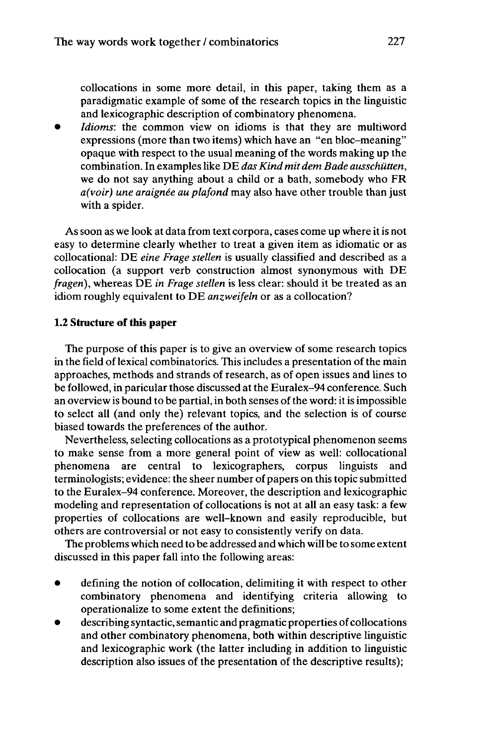collocations in some more detail, in this paper, taking them as a paradigmatic example of some of the research topics in the linguistic and lexicographic description of combinatory phenomena.

*Idioms*: the common view on idioms is that they are multiword expressions (more than two items) which have an "en bloc-meaning" opaque with respect to the usual meaning of the words making up the combination. In examples like DE *das Kind mit dem Bade ausschütten,* we do not say anything about a child or a bath, somebody who FR *a(voir) une araignée au plafond* may also have other trouble than just with a spider.

As soon as we look at data from text corpora, cases come up where it is not easy to determine clearly whether to treat a given item as idiomatic or as collocational: DE *eine Frage stellen* is usually classified and described as a collocation (a support verb construction almost synonymous with DE *fragen),* whereas DE *in Frage stellen* is less clear: should it be treated as an idiom roughly equivalent to DE *anzweifeln* or as a collocation?

#### **1.2 Structure of this paper**

The purpose of this paper is to give an overview of some research topics in the field of lexical combinatorics. This includes a presentation of the main approaches, methods and strands of research, as of open issues and lines to be followed, in paricular those discussed at the Euralex-94 conference. Such an overview is bound to be partial, in both senses of the word: it is impossible to select all (and only the) relevant topics, and the selection is of course biased towards the preferences of the author.

Nevertheless, selecting collocations as a prototypical phenomenon seems to make sense from a more general point of view as well: collocational phenomena are central to lexicographers, corpus linguists and terminologists; evidence: the sheer number of papers on this topic submitted to the Euralex-94 conference. Moreover, the description and lexicographic modeling and representation of collocations is not at all an easy task: a few properties of collocations are well-known and easily reproducible, but others are controversial or not easy to consistently verify on data.

The problems which need to be addressed and which will be to some extent discussed in this paper fall into the following areas:

- defining the notion of collocation, delimiting it with respect to other combinatory phenomena and identifying criteria allowing to operationalize to some extent the definitions;
- describing syntactic, semantic and pragmatic properties of collocations and other combinatory phenomena, both within descriptive linguistic and lexicographic work (the latter including in addition to linguistic description also issues of the presentation of the descriptive results);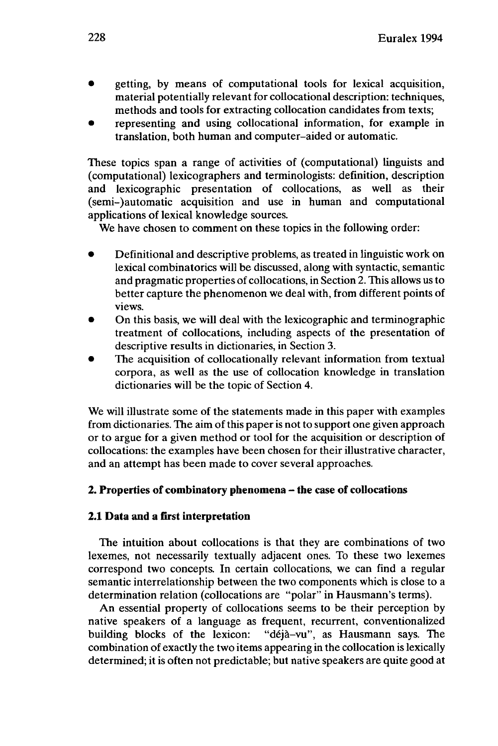- getting, by means of computational tools for lexical acquisition, material potentially relevant for collocational description: techniques, methods and tools for extracting collocation candidates from texts;
- representing and using collocational information, for example in translation, both human and computer-aided or automatic.

These topics span a range of activities of (computational) linguists and (computational) lexicographers and terminologists: definition, description and lexicographic presentation of collocations, as well as their (semi-)automatic acquisition and use in human and computational applications of lexical knowledge sources.

We have chosen to comment on these topics in the following order:

- Definitional and descriptive problems, as treated in linguistic work on lexical combinatorics will be discussed, along with syntactic, semantic and pragmatic properties of collocations, in Section 2. This allows us to better capture the phenomenon we deal with, from different points of views.
- On this basis, we will deal with the lexicographic and terminographic treatment of collocations, including aspects of the presentation of descriptive results in dictionaries, in Section 3.
- The acquisition of collocationally relevant information from textual corpora, as well as the use of collocation knowledge in translation dictionaries will be the topic of Section 4.

We will illustrate some of the statements made in this paper with examples from dictionaries. The aim of this paper is not to support one given approach or to argue for a given method or tool for the acquisition or description of collocations: the examples have been chosen for their illustrative character, and an attempt has been made to cover several approaches.

# **2. Properties of combinatory phenomena -the case of collocations**

# **2.1 Data and a first interpretation**

The intuition about collocations is that they are combinations of two lexemes, not necessarily textually adjacent ones. To these two lexemes correspond two concepts. In certain collocations, we can find a regular semantic interrelationship between the two components which is close to a determination relation (collocations are "polar" in Hausmann's terms).

An essential property of collocations seems to be their perception by native speakers of a language as frequent, recurrent, conventionalized building blocks of the lexicon: "déjà-vu", as Hausmann says. The combination of exactly the two items appearing in the collocation is lexically determined; it is often not predictable; but native speakers are quite good at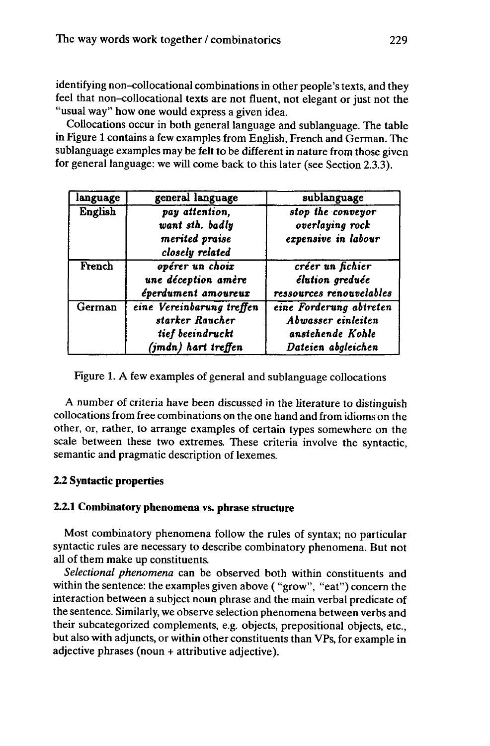identifying non-collocational combinations in other people's texts, and they feel that non-collocational texts are not fluent, not elegant or just not the "usual way" how one would express a given idea.

Collocations occur in both general language and sublanguage. The table in Figure <sup>1</sup> contains a few examples from English, French and German. The sublanguage examples may be felt to be different in nature from those given for general language: we will come back to this later (see Section 2.3.3).

| language | general language                                                                        | sublanguage                                                                             |
|----------|-----------------------------------------------------------------------------------------|-----------------------------------------------------------------------------------------|
| English  | pay attention,<br>want sth. badly<br>merited praise<br>closely related                  | stop the conveyor<br>overlaying rock<br>expensive in labour                             |
| French   | opérer un choix<br>une déception amère<br>éperdument amoureux                           | créer un fichier<br>élution greduée<br>ressources renouvelables                         |
| German   | eine Vereinbarung treffen<br>starker Raucher<br>tief beeindruckt<br>(jmdn) hart treffen | eine Forderung abtreten<br>Abwasser einleiten<br>anstehende Kohle<br>Dateien abgleichen |

Figure 1. A few examples of general and sublanguage collocations

A number of criteria have been discussed in the literature to distinguish collocationsfrom free combinations on the one hand and from idioms on the other, or, rather, to arrange examples of certain types somewhere on the scale between these two extremes. These criteria involve the syntactic, semantic and pragmatic description of lexemes.

# **2.2 Syntactic properties**

# **2.2.1 Combinatory phenomena vs. phrase structure**

Most combinatory phenomena follow the rules of syntax; no particular syntactic rules are necessary to describe combinatory phenomena. But not all of them make up constituents.

*Selectional phenomena* can be observed both within constituents and within the sentence: the examples given above ( "grow", "eat") concern the interaction between a subject noun phrase and the main verbal predicate of the sentence. Similarly, we observe selection phenomena between verbs and their subcategorized complements, e.g. objects, prepositional objects, etc., but also with adjuncts, or within other constituents than VPs, for example in adjective phrases (noun + attributive adjective).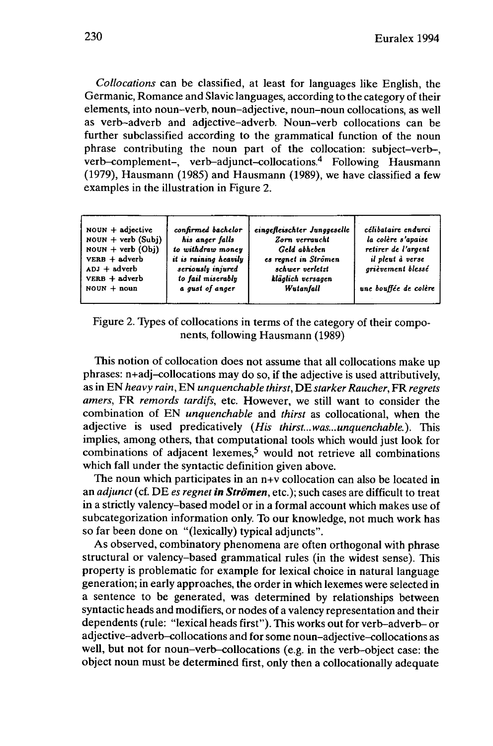*Collocations* can be classified, at least for languages like English, the Germanic, Romance and Slavic languages, according to the category of their elements, into noun-verb, noun-adjective, noun-noun collocations, as well as verb-adverb and adjective-adverb. Noun-verb collocations can be further subclassified according to the grammatical function of the noun phrase contributing the noun part of the collocation: subject-verb-, verb-complement-, verb-adjunct-collocations.<sup>4</sup> Following Hausmann (1979), Hausmann (1985) and Hausmann (1989), we have classified a few examples in the illustration in Figure 2.

| $noun + adjective$<br>$\text{noun} + \text{verb} (\text{Subi})$<br>$noun + verb (Obj)$<br>$VERB + adverb$<br>$ADJ + adverb$<br>$VERB + adverb$<br>$NOUN + noun$ | confirmed bachelor<br>his anger falls<br>to withdraw money<br>it is raining heavily<br>seriously injured<br>to fail miserably<br>a gust of anger | eingefleischter Junggeselle<br>Zorn verraucht<br>Geld abheben<br>es regnet in Strömen<br>schwer verletzt<br>kläglich versagen<br>Wutanfall | célibataire endurci<br>la colère s'apaise<br>retirer de l'argent<br>il pleut à verse<br>grièvement blessé<br>une bouffée de colère |
|-----------------------------------------------------------------------------------------------------------------------------------------------------------------|--------------------------------------------------------------------------------------------------------------------------------------------------|--------------------------------------------------------------------------------------------------------------------------------------------|------------------------------------------------------------------------------------------------------------------------------------|
|                                                                                                                                                                 |                                                                                                                                                  |                                                                                                                                            |                                                                                                                                    |

Figure 2. Types of collocations in terms of the category of their components, following Hausmann (1989)

This notion of collocation does not assume that all collocations make up phrases: n+adj-collocations may do so, if the adjective is used attributively, as in EN *heavy rain,* EN *unquenchable thirst,* DE *starker Raucher,* FR *regrets amers,* FR *remords tardifs,* etc. However, we still want to consider the combination of EN *unquenchable* and *thirst* as collocational, when the adjective is used predicatively *(His thirst...was...unquenchable.).* This implies, among others, that computational tools which would just look for combinations of adjacent lexemes,<sup>5</sup> would not retrieve all combinations which fall under the syntactic definition given above.

The noun which participates in an n+v collocation can also be located in an *adjunct* (cf. DE *es regnet in Strömen,* etc.); such cases are difficult to treat in a strictly valency-based model or in a formal account which makes use of subcategorization information only. To our knowledge, not much work has so far been done on "(lexically) typical adjuncts".

As observed, combinatory phenomena are often orthogonal with phrase structural or valency-based grammatical rules (in the widest sense). This property is problematic for example for lexical choice in natural language generation; in early approaches, the order in which lexemes were selected in a sentence to be generated, was determined by relationships between syntactic heads and modifiers, or nodes of a valency representation and their dependents (rule: "lexical heads first"). This works out for verb-adverb- or adjective-adverb-collocations and for some noun-adjective-collocations as well, but not for noun-verb-collocations (e.g. in the verb-object case: the object noun must be determined first, only then a collocationally adequate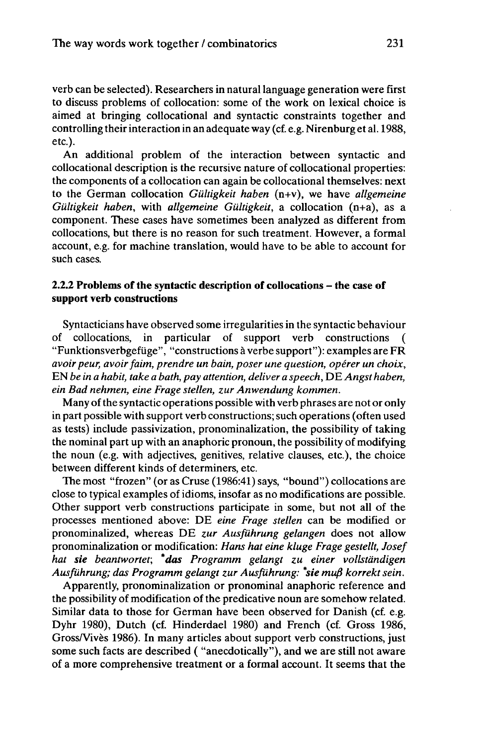verb can be selected). Researchers in natural language generation were first to discuss problems of collocation: some of the work on lexical choice is aimed at bringing collocational and syntactic constraints together and controlling their interaction in an adequate way (cf. e.g. Nirenburg et al. 1988, etc.).

An additional problem of the interaction between syntactic and collocational description is the recursive nature of collocational properties: the components of a collocation can again be collocational themselves: next to the German collocation *Gültigkeit haben* (n+v), we have *allgemeine Gültigkeit haben,* with *allgemeine Gültigkeit,* a collocation (n+a), as a component. These cases have sometimes been analyzed as different from collocations, but there is no reason for such treatment. However, a formal account, e.g. for machine translation, would have to be able to account for such cases.

# **2.2.2 Problems of the syntactic description of collocations - the case of support verb constructions**

Syntacticians have observed some irregularities in the syntactic behaviour of collocations, in particular of support verb constructions ( "Funktionsverbgefiige", "constructions à verbe support"): examples are FR *avoir peur, avoirfaim, prendre un bain, poser une question, opérer un choix,* EN *be in a habit, take a bath, pay attention, deliver a speech,* DE*Angst haben, ein Bad nehmen, eine Frage stellen, zur Anwendung kommen.*

Many of the syntactic operations possible with verb phrases are not or only in part possible with support verb constructions; such operations (often used as tests) include passivization, pronominalization, the possibility of taking the nominal part up with an anaphoric pronoun, the possibility of modifying the noun (e.g. with adjectives, genitives, relative clauses, etc.), the choice between different kinds of determiners, etc.

The most "frozen" (or as Cruse (1986:41) says, "bound") collocations are close to typical examples of idioms, insofar as no modifications are possible. Other support verb constructions participate in some, but not all of the processes mentioned above: DE *eine Frage stellen* can be modified or pronominalized, whereas DE *zur Ausführung gelangen* does not allow pronominalization or modification: *Hans hat eine kluge Frage gestellt, Josef hat sie beantwortet; \*das Programm gelangt zu einer vollständigen Ausführung; das Programm gelangt zur Ausführung: \*sie muß korrekt sein.*

Apparently, pronominalization or pronominal anaphoric reference and the possibility of modification of the predicative noun are somehow related. Similar data to those for German have been observed for Danish (cf. e.g. Dyhr 1980), Dutch (cf. Hinderdael 1980) and French (cf. Gross 1986, Gross/Vives 1986). In many articles about support verb constructions, just some such facts are described ( "anecdotically"), and we are still not aware of a more comprehensive treatment or a formal account. It seems that the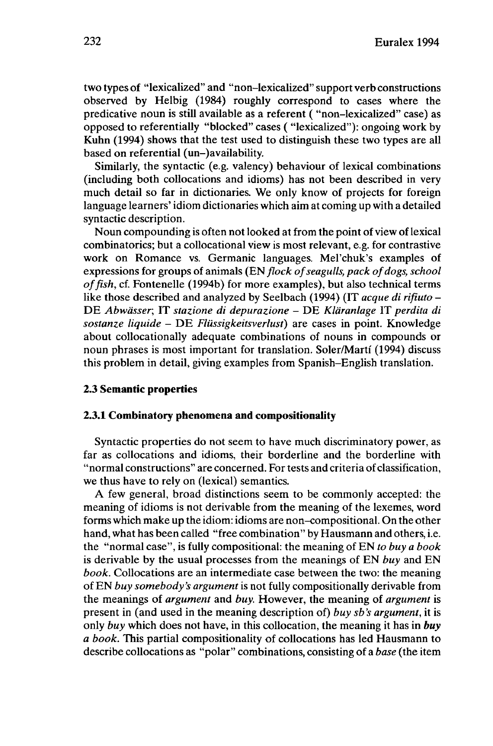two types of "lexicalized" and "non-lexicalized" support verb constructions observed by Helbig (1984) roughly correspond to cases where the predicative noun is still available as a referent ( "non-lexicalized" case) as opposed to referentially "blocked" cases ( "lexicalized"): ongoing work by Kuhn (1994) shows that the test used to distinguish these two types are all based on referential (un-)availability.

Similarly, the syntactic (e.g. valency) behaviour of lexical combinations (including both collocations and idioms) has not been described in very much detail so far in dictionaries. We only know of projects for foreign language learners' idiom dictionaries which aim at coming up with a detailed syntactic description.

Noun compounding is often not looked at from the point of view of lexical combinatorics; but a collocational view is most relevant, e.g. for contrastive work on Romance vs. Germanic languages. Mel'chuk's examples of expressions for groups of animals *(ENflock ofseagulls, pack ofdogs, school offish,* cf. Fontenelle (1994b) for more examples), but also technical terms like those described and analyzed by Seelbach (1994) (IT *acque di rifiuto -* DE *Abwässer,* IT *stazione di depurazione* - DE *Kläranlage* IT *perdita di sostanze liquide* - DE *Flüssigkeitsverlust)* are cases in point. Knowledge about collocationally adequate combinations of nouns in compounds or noun phrases is most important for translation. Soler/Marti (1994) discuss this problem in detail, giving examples from Spanish-English translation.

## **2.3 Semantic properties**

#### **2.3.1 Combinatory phenomena and compositionality**

Syntactic properties do not seem to have much discriminatory power, as far as collocations and idioms, their borderline and the borderline with "normal constructions" are concerned. For tests and criteria of classification, we thus have to rely on (lexical) semantics.

A few general, broad distinctions seem to be commonly accepted: the meaning of idioms is not derivable from the meaning of the lexemes, word forms which make up the idiom: idioms are non-compositional. On the other hand, what has been called "free combination" by Hausmann and others, i.e. the "normal case", is fully compositional: the meaning of EN *to buy a book* is derivable by the usual processes from the meanings of EN *buy* and EN *book.* Collocations are an intermediate case between the two: the meaning of EN *buy somebody's argument*is not fully compositionally derivable from the meanings of *argument* and *buy.* However, the meaning of *argument* is present in (and used in the meaning description of) *buy sb's argument,* it is only *buy* which does not have, in this collocation, the meaning it has in *buy a book.* This partial compositionality of collocations has led Hausmann to describe collocations as "polar" combinations, consisting *of abase* (the item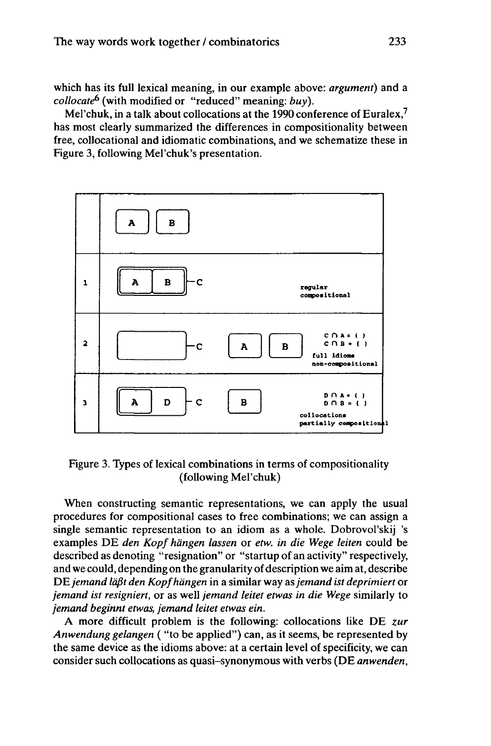which has its full lexical meaning, in our example above: *argument)* and a *collocate<sup>6</sup>* (with modified or "reduced" meaning: *buy).*

Mel'chuk, in a talk about collocations at the 1990 conference of Euralex, $<sup>7</sup>$ </sup> has most clearly summarized the differences in compositionality between free, collocational and idiomatic combinations, and we schematize these in Figure 3, following Mel'chuk's presentation.



Figure 3. Types of lexical combinations in terms of compositionality (following Mel'chuk)

When constructing semantic representations, we can apply the usual procedures for compositional cases to free combinations; we can assign a single semantic representation to an idiom as a whole. Dobrovol'skij 's examples DE *den Kopf hängen lassen* or *etw. in die Wege leiten* could be described as denoting "resignation" or "startup of an activity" respectively, and we could, depending on the granularity of description we aim at, describe DE*jemand läßt den Kopfhängen* in a similar way as*jemand ist deprimiert* or *jemand ist resigniert,* or as well *jemand leitet etwas in die Wege* similarly to *jemand beginnt etwas, jemand leitet etwas ein.*

A more difficult problem is the following: collocations like DE *zur Anwendung gelangen* ( "to be applied") can, as it seems, be represented by the same device as the idioms above: at a certain level of specificity, we can consider such collocations as quasi-synonymous with verbs (DE *anwenden,*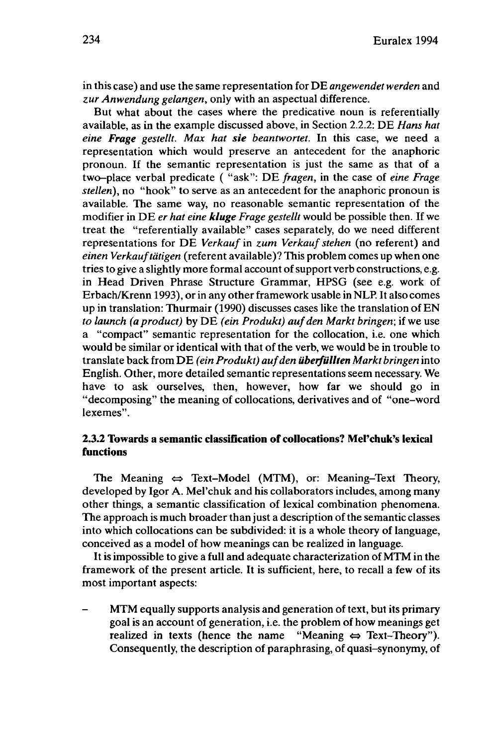in this case) and use the same representation for DE *angewendet werden* and *zur Anwendung gelangen,* only with an aspectual difference.

But what about the cases where the predicative noun is referentially available, as in the example discussed above, in Section 2.2.2: DE *Hans hat eine Frage gestellt. Max hat sie beantwortet.* In this case, we need a representation which would preserve an antecedent for the anaphoric pronoun. If the semantic representation is just the same as that of a two-place verbal predicate ( "ask": DE *fragen,* in the case of *eine Frage stellen),* no "hook" to serve as an antecedent for the anaphoric pronoun is available. The same way, no reasonable semantic representation of the modifier in DE *er hat eine kluge Frage gestellt* would be possible then. If we treat the "referentially available" cases separately, do we need different representations for DE *Verkauf* in *zum Verkauf stehen* (no referent) and *einen Verkauftätigen* (referent available)? This problem comes up when one tries to give a slightly more formal account of support verb constructions, e.g. in Head Driven Phrase Structure Grammar, HPSG (see e.g. work of Erbach/Krenn 1993), or in any other framework usable in NLP. It also comes up in translation: Thurmair (1990) discusses cases like the translation ofEN *to launch (a product)* by DE *(ein Produkt) aufden Markt bringen;* if we use a "compact" semantic representation for the collocation, i.e. one which would be similar or identical with that of the verb, we would be in trouble to translate back from DE *(ein Produkt) aufden überfüllten Markt bringen* into English. Other, more detailed semantic representations seem necessary. We have to ask ourselves, then, however, how far we should go in "decomposing" the meaning of collocations, derivatives and of "one-word lexemes".

# **2.3.2 Towards a semantic classification of collocations? Mel'chuk's lexical functions**

The Meaning  $\Leftrightarrow$  Text-Model (MTM), or: Meaning-Text Theory, developed by Igor A. Mel'chuk and his collaborators includes, among many other things, a semantic classification of lexical combination phenomena. The approach is much broader than just a description of the semantic classes into which collocations can be subdivided: it is a whole theory of language, conceived as a model of how meanings can be realized in language.

It is impossible to give a full and adequate characterization of MTM in the framework of the present article. It is sufficient, here, to recall a few of its most important aspects:

MTM equally supports analysis and generation of text, but its primary goal is an account of generation, i.e. the problem of how meanings get realized in texts (hence the name "Meaning  $\Leftrightarrow$  Text-Theory"). Consequently, the description of paraphrasing, of quasi-synonymy, of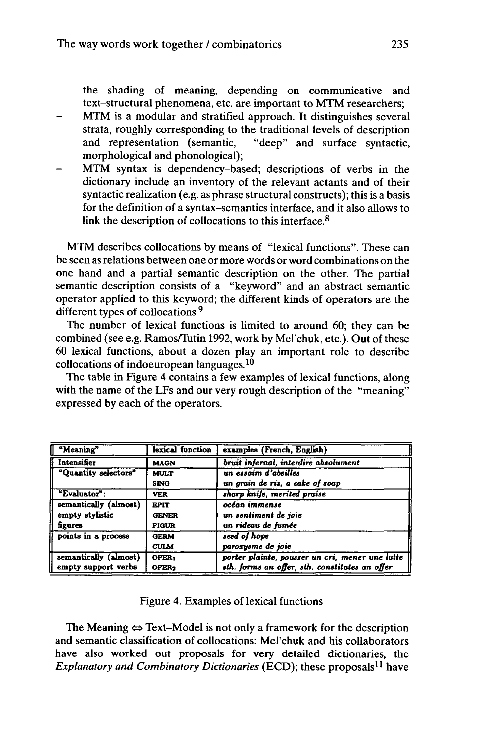the shading of meaning, depending on communicative and text-structural phenomena, etc. are important to MTM researchers;

- MTM is a modular and stratified approach. It distinguishes several strata, roughly corresponding to the traditional levels of description and representation (semantic, "deep" and surface syntactic, morphological and phonological);
- MTM syntax is dependency-based; descriptions of verbs in the dictionary include an inventory of the relevant actants and of their syntactic realization (e.g. as phrase structural constructs); this is a basis for the definition of a syntax-semantics interface, and it also allows to link the description of collocations to this interface.<sup>8</sup>

MTM describes collocations by means of "lexical functions". These can be seen as relations between one or more words or word combinations on the one hand and a partial semantic description on the other. The partial semantic description consists of a "keyword" and an abstract semantic operator applied to this keyword; the different kinds of operators are the different types of collocations.<sup>9</sup>

The number of lexical functions is limited to around 60; they can be combined (see e.g. Ramos/Tutin 1992, work by Mel'chuk, etc.). Out of these 60 lexical functions, about a dozen play an important role to describe collocations of indoeuropean languages.<sup>10</sup>

The table in Figure 4 contains a few examples of lexical functions, along with the name of the LFs and our very rough description of the "meaning" expressed by each of the operators.

| Weaning"              | lexical function  | examples (French, English)                      |
|-----------------------|-------------------|-------------------------------------------------|
| Intensifier           | <b>MAGN</b>       | bruit infernal, interdire absolument            |
| "Quantity selectors"  | <b>MULT</b>       | un essaim d'abeilles                            |
|                       | <b>SING</b>       | un grain de riz, a cake of soap                 |
| "Evaluator":          | <b>VER</b>        | sharp knife, merited praise                     |
| semantically (almost) | <b>EPIT</b>       | océan immense                                   |
| empty stylistic       | <b>GENER</b>      | un sentiment de joie                            |
| figures               | <b>FIGUR</b>      | un rideau de fumée                              |
| points in a process   | <b>GERM</b>       | seed of hope                                    |
|                       | <b>CULM</b>       | paroxysme de joie                               |
| semantically (almost) | OPER <sub>1</sub> | porter plainte, pousser un cri, mener une lutte |
| empty support verbs   | OPER <sub>2</sub> | sth. forms an offer, sth. constitutes an offer  |

#### Figure 4. Examples of lexical functions

The Meaning  $\Leftrightarrow$  Text-Model is not only a framework for the description and semantic classification of collocations: Mel'chuk and his collaborators have also worked out proposals for very detailed dictionaries, the *Explanatory and Combinatory Dictionaries* (ECD); these proposals<sup>11</sup> have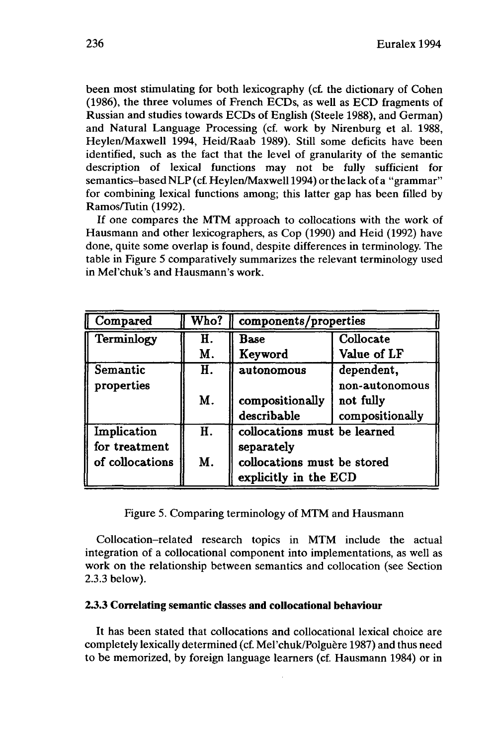been most stimulating for both lexicography (cf. the dictionary of Cohen (1986), the three volumes of French ECDs, as well as ECD fragments of Russian and studies towards ECDs of English (Steele 1988), and German) and Natural Language Processing (cf. work by Nirenburg et al. 1988, Heylen/Maxwell 1994, Heid/Raab 1989). Still some deficits have been identified, such as the fact that the level of granularity of the semantic description of lexical functions may not be fully sufficient for semantics-based NLP (cf. Heylen/Maxwell 1994) or the lack of a "grammar" for combining lexical functions among; this latter gap has been filled by Ramos/Tutin (1992).

If one compares the MTM approach to collocations with the work of Hausmann and other lexicographers, as Cop (1990) and Heid (1992) have done, quite some overlap is found, despite differences in terminology. The table in Figure 5 comparatively summarizes the relevant terminology used in Mel'chuk's and Hausmann's work.

| Compared        | Who? | components/properties          |                                                |
|-----------------|------|--------------------------------|------------------------------------------------|
| Terminlogy      | H.   | <b>Base</b>                    | Collocate                                      |
|                 | M.   | Keyword                        | Value of LF                                    |
| Semantic        | Н.   | autonomous                     | dependent.                                     |
| properties      | M.   | compositionally<br>describable | non-autonomous<br>not fully<br>compositionally |
| Implication     | H.   | collocations must be learned   |                                                |
| for treatment   |      | separately                     |                                                |
| of collocations | M.   | collocations must be stored    |                                                |
|                 |      | explicitly in the ECD          |                                                |

Figure 5. Comparing terminology of MTM and Hausmann

Collocation-related research topics in MTM include the actual integration of a collocational component into implementations, as well as work on the relationship between semantics and collocation (see Section 2.3.3 below).

## **2.3.3 Correlating semantic classes and collocational behaviour**

It has been stated that collocations and collocational lexical choice are completely lexically determined (cf. Mel'chuk/Polguère 1987) and thus need to be memorized, by foreign language learners (cf. Hausmann 1984) or in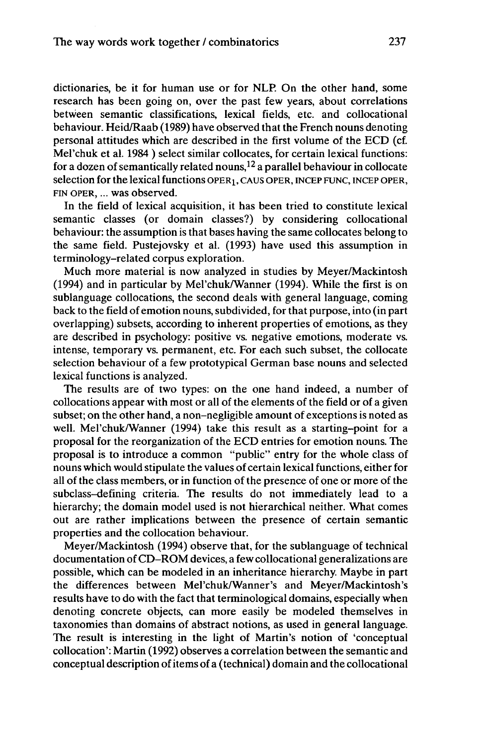dictionaries, be it for human use or for NLP. On the other hand, some research has been going on, over the past few years, about correlations between semantic classifications, lexical fields, etc. and collocational behaviour. Heid/Raab (1989) have observed that the French nouns denoting personal attitudes which are described in the first volume of the ECD (cf. Mel'chuk et al. 1984 ) select similar collocates, for certain lexical functions: for a dozen of semantically related nouns,<sup>12</sup> a parallel behaviour in collocate selection for the lexical functions OPER<sub>1</sub>, CAUS OPER, INCEP FUNC, INCEP OPER, FIN OPER, ... was observed.

In the field of lexical acquisition, it has been tried to constitute lexical semantic classes (or domain classes?) by considering collocational behaviour: the assumption is that bases having the same collocates belong to the same field. Pustejovsky et al. (1993) have used this assumption in terminology-related corpus exploration.

Much more material is now analyzed in studies by Meyer/Mackintosh (1994) and in particular by Mel'chuk/Wanner (1994). While the first is on sublanguage collocations, the second deals with general language, coming back to the field of emotion nouns, subdivided, for that purpose, into (in part overlapping) subsets, according to inherent properties of emotions, as they are described in psychology: positive vs. negative emotions, moderate vs. intense, temporary vs. permanent, etc. For each such subset, the collocate selection behaviour of a few prototypical German base nouns and selected lexical functions is analyzed.

The results are of two types: on the one hand indeed, a number of collocations appear with most or all of the elements of the field or of a given subset; on the other hand, a non-negligible amount of exceptions is noted as well. Mel'chuk/Wanner (1994) take this result as a starting-point for a proposal for the reorganization of the ECD entries for emotion nouns. The proposal is to introduce a common "public" entry for the whole class of nouns which would stipulate the values of certain lexical functions, either for all of the class members, or in function of the presence of one or more of the subclass-defining criteria. The results do not immediately lead to a hierarchy; the domain model used is not hierarchical neither. What comes out are rather implications between the presence of certain semantic properties and the collocation behaviour.

Meyer/Mackintosh (1994) observe that, for the sublanguage of technical documentation ofCD-ROM devices, a few collocational generalizations are possible, which can be modeled in an inheritance hierarchy. Maybe in part the differences between Mel'chuk/Wanner's and Meyer/Mackintosh's results have to do with the fact that terminological domains, especially when denoting concrete objects, can more easily be modeled themselves in taxonomies than domains of abstract notions, as used in general language. The result is interesting in the light of Martin's notion of 'conceptual collocation': Martin (1992) observes a correlation between the semantic and conceptual description of items of a (technical) domain and the collocational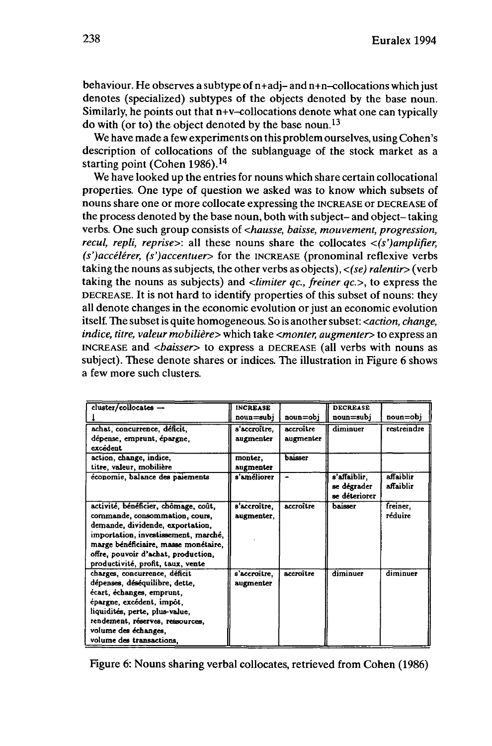behaviour. He observes a subtype of  $n+adj- and n+n$ -collocations which just denotes (specialized) subtypes of the objects denoted by the base noun. Similarly, he points out that n+v-collocations denote what one can typically do with (or to) the object denoted by the base noun.<sup>13</sup>

We have made a few experiments on this problem ourselves, using Cohen's description of collocations of the sublanguage of the stock market as a starting point (Cohen 1986).<sup>14</sup>

We have looked up the entries for nouns which share certain collocational properties. One type of question we asked was to know which subsets of nouns share one or more collocate expressing the INCREASE or DECREASE of the process denoted by the base noun, both with subject- and object- taking verbs. One such group consists of *<hausse, baisse, mouvement, progression, recul, repli, reprise>:* all these nouns share the collocates *<(s')amplifier, (s')accélérer, (s')accentuer>* for the INCREASE (pronominal reflexive verbs taking the nouns as subjects, the other verbs as objects), *<(se) ralentir>* (verb taking the nouns as subjects) and *<limiter qc, freiner qc>,* to express the DECREASE. It is not hard to identify properties of this subset of nouns: they all denote changes in the economic evolution or just an economic evolution itself. The subsetis quite homogeneous. So is anothersubset: *<action, change, indice, titre, valeur mobilière* > which take <*monter, augmenter* > to express an INCREASE and *<baisser>* to express a DECREASE (all verbs with nouns as subject). These denote shares or indices. The illustration in Figure 6 shows a few more such clusters.

| $cluster/collocates$ $\rightarrow$                                 | <b>INCREASE</b> |           | <b>DECREASE</b>                 |             |
|--------------------------------------------------------------------|-----------------|-----------|---------------------------------|-------------|
|                                                                    | noun=subi       | noun=obj  | $\texttt{noun} = \texttt{subj}$ | noun=obj    |
| achat, concurrence, déficit,                                       | s'accroître.    | accroître | diminuer                        | restreindre |
| dépense, emprunt, épargne,                                         | augmenter       | augmenter |                                 |             |
| excédent                                                           |                 |           |                                 |             |
| action, change, indice.                                            | monter.         | baisser   |                                 |             |
| titre, valeur, mobilière                                           | augmenter       |           |                                 |             |
| economie, balance des paiements                                    | s'améliorer     |           | s'affaiblir.                    | affaiblir   |
|                                                                    |                 |           | se dégrader                     | affaiblir   |
|                                                                    |                 |           | se déteriorer                   |             |
| activité, bénéficier, chômage, coût,                               | s'accroître,    | accroître | baisser                         | freiner.    |
| commande, consommation, cours,                                     | augmenter,      |           |                                 | réduire     |
| demande, dividende, exportation,                                   |                 |           |                                 |             |
| importation, investissement, marché,                               |                 |           |                                 |             |
| marge bénéficiaire, masse monétaire,                               |                 |           |                                 |             |
| offre, pouvoir d'achat, production,                                |                 |           |                                 |             |
| productivité, profit, taux, vente                                  |                 |           |                                 |             |
| charges, concurrence, déficit                                      | s'accroître.    | accroître | diminuer                        | diminuer    |
| dépenses, déséquilibre, dette,                                     | augmenter       |           |                                 |             |
| écart, échanges, emprunt,                                          |                 |           |                                 |             |
| épargne, excédent, impôt,                                          |                 |           |                                 |             |
| liquidités, perte, plus-value,<br>rendement, réserves, ressources, |                 |           |                                 |             |
|                                                                    |                 |           |                                 |             |
| volume des échanges,                                               |                 |           |                                 |             |
| volume des transactions.                                           |                 |           |                                 |             |

Figure 6: Nouns sharing verbal collocates, retrieved from Cohen (1986)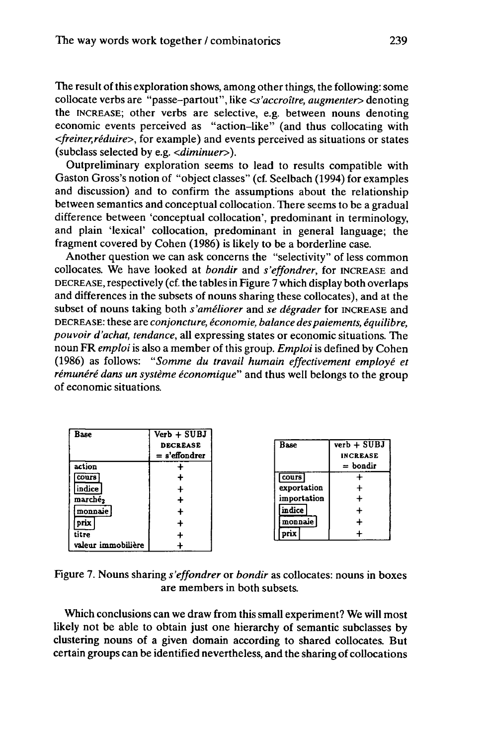The result of this exploration shows, among other things, the following: some collocate verbs are "passe-partout", like *<s'accroître*, *augmenter*> denoting the INCREASE; other verbs are selective, e.g. between nouns denoting economic events perceived as "action-like" (and thus collocating with *<freiner,réduire>,* for example) and events perceived as situations or states (subclass selected by e.g. *<diminuer>).*

Outpreliminary exploration seems to lead to results compatible with Gaston Gross's notion of "object classes" (cf. Seelbach (1994) for examples and discussion) and to confirm the assumptions about the relationship between semantics and conceptual collocation. There seems to be a gradual difference between 'conceptual collocation', predominant in terminology, and plain 'lexical' collocation, predominant in general language; the fragment covered by Cohen (1986) is likely to be a borderline case.

Another question we can ask concerns the "selectivity" of less common collocates. We have looked at *bondir* and *s'effondrer,* for INCREASE and DECREASE, respectively (cf. the tablesin Figure 7 which display both overlaps and differences in the subsets of nouns sharing these collocates), and at the subset of nouns taking both *s'améliorer* and *se dégrader* for INCREASE and DECREASE: these are *conjoncture, économie, balance despaiements, équilibre, pouvoir d'achat, tendance,* all expressing states or economic situations. The noun FR *emploi*is also a member of this group. *Emploi* is defined by Cohen (1986) as follows: *"Somme du travail humain effectivement employé et rémunéré dans un système économique'''* and thus well belongs to the group of economic situations.

| Base                | $Verb + SUBJ$   |
|---------------------|-----------------|
|                     | <b>DECREASE</b> |
|                     | $=$ s'effondrer |
| action              |                 |
| cours               |                 |
| indice              | $\ddot{}$       |
| marché <sub>2</sub> | ╇               |
| monnaie             | ┿               |
| prix                | ٠               |
| titre               |                 |
| valeur immobilière  |                 |

| Base         | verb + SUBJ     |
|--------------|-----------------|
|              | <b>INCREASE</b> |
|              | $=$ bondir      |
| <b>cours</b> |                 |
| exportation  | ٠               |
| importation  |                 |
| indice       | ٠               |
| monnaie      |                 |
|              |                 |

Figure 7. Nouns sharing *s'effondrer* or *bondir* as collocates: nouns in boxes are members in both subsets.

Which conclusions can we draw from this small experiment? We will most likely not be able to obtain just one hierarchy of semantic subclasses by clustering nouns of a given domain according to shared collocates. But certain groups can be identified nevertheless, and the sharing of collocations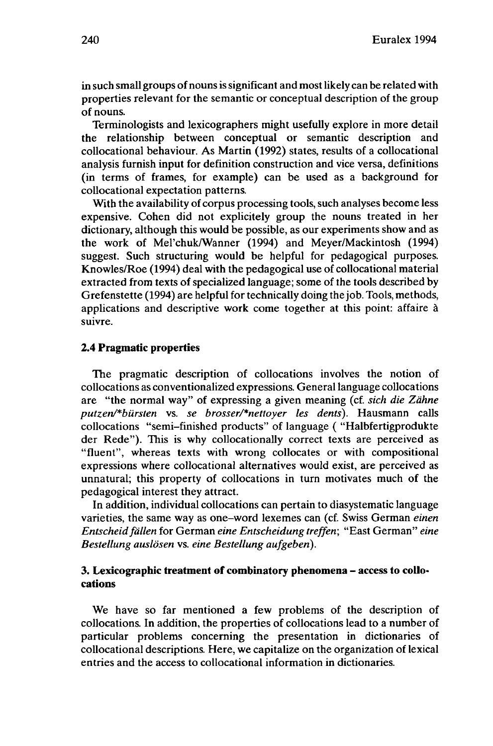in such small groups of nouns is significant and most likely can be related with properties relevant for the semantic or conceptual description of the group of nouns.

Terminologists and lexicographers might usefully explore in more detail the relationship between conceptual or semantic description and collocational behaviour. As Martin (1992) states, results of a collocational analysis furnish input for definition construction and vice versa, definitions (in terms of frames, for example) can be used as a background for collocational expectation patterns.

With the availability of corpus processing tools, such analyses become less expensive. Cohen did not explicitely group the nouns treated in her dictionary, although this would be possible, as our experiments show and as the work of Mel'chuk/Wanner (1994) and Meyer/Mackintosh (1994) suggest. Such structuring would be helpful for pedagogical purposes. Knowles/Roe (1994) deal with the pedagogical use of collocational material extracted from texts of specialized language; some of the tools described by Grefenstette (1994) are helpful for technically doing the job.Tools, methods, applications and descriptive work come together at this point: affaire à suivre.

#### **2.4 Pragmatic properties**

The pragmatic description of collocations involves the notion of collocations as conventionalized expressions. Generallanguage collocations are "the normal way" of expressing a given meaning (cf. *sich die Zähne putzen/\*biirsten* vs. *se brosser/\*nettoyer les dents).* Hausmann calls collocations "semi-finished products" of language ( "Halbfertigprodukte der Rede"). This is why collocationally correct texts are perceived as "fluent", whereas texts with wrong collocates or with compositional expressions where collocational alternatives would exist, are perceived as unnatural; this property of collocations in turn motivates much of the pedagogical interest they attract.

In addition, individual collocations can pertain to diasystematic language varieties, the same way as one-word lexemes can (cf. Swiss German *einen Entscheidfällen* for German *eine Entscheidung treffen;* "East German" *eine Bestellung auslösen* vs. *eine Bestellung aufgeben).*

# **3. Lexicographic treatment of combinatory phenomena - access to collocations**

We have so far mentioned a few problems of the description of collocations. In addition, the properties of collocations lead to a number of particular problems concerning the presentation in dictionaries of collocational descriptions. Here, we capitalize on the organization of lexical entries and the access to collocational information in dictionaries.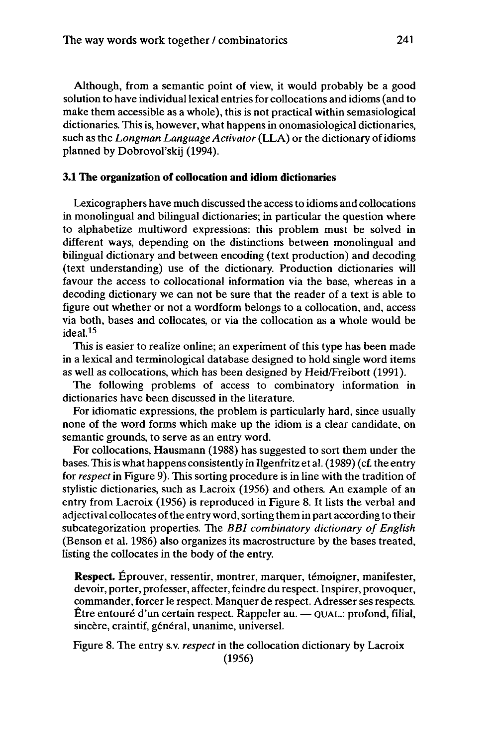Although, from a semantic point of view, it would probably be a good solution to have individual lexical entries for collocations and idioms (and to make them accessible as a whole), this is not practical within semasiological dictionaries. This is, however, what happens in onomasiological dictionaries, such as the *Longman Language Activator* (LLA) or the dictionary ofidioms planned by Dobrovol'skij (1994).

## **3.1 The organization of collocation and idiom dictionaries**

Lexicographers have much discussed the accessto idioms and collocations in monolingual and bilingual dictionaries; in particular the question where to alphabetize multiword expressions: this problem must be solved in different ways, depending on the distinctions between monolingual and bilingual dictionary and between encoding (text production) and decoding (text understanding) use of the dictionary. Production dictionaries will favour the access to collocational information via the base, whereas in a decoding dictionary we can not be sure that the reader of a text is able to figure out whether or not a wordform belongs to a collocation, and, access via both, bases and collocates, or via the collocation as a whole would be ideal.<sup>15</sup>

This is easier to realize online; an experiment of this type has been made in a lexical and terminological database designed to hold single word items as well as collocations, which has been designed by Heid/Freibott (1991).

The following problems of access to combinatory information in dictionaries have been discussed in the literature.

For idiomatic expressions, the problem is particularly hard, since usually none of the word forms which make up the idiom is a clear candidate, on semantic grounds, to serve as an entry word.

For collocations, Hausmann (1988) has suggested to sort them under the bases. Thisiswhat happens consistently in Ilgenfritz et al. (1989) (cf. the entry for *respect* in Figure 9). This sorting procedure is in line with the tradition of stylistic dictionaries, such as Lacroix (1956) and others. An example of an entry from Lacroix (1956) is reproduced in Figure 8. It lists the verbal and adjectival collocates of the entry word, sorting them in part according to their subcategorization properties. The *BBI combinatory dictionary of English* (Benson et al. 1986) also organizes its macrostructure by the bases treated, listing the collocates in the body of the entry.

**Respect.** Éprouver, ressentir, montrer, marquer, témoigner, manifester, devoir, porter, professer, affecter, feindre du respect. Inspirer, provoquer, commander, forcer le respect. Manquer de respect. Adresser ses respects.<br>Être entouré d'un certain respect. Rappeler au. — QUAL.: profond, filial, sincère, craintif, général, unanime, universel.

Figure 8. The entry s.v. *respect* in the collocation dictionary by Lacroix (1956)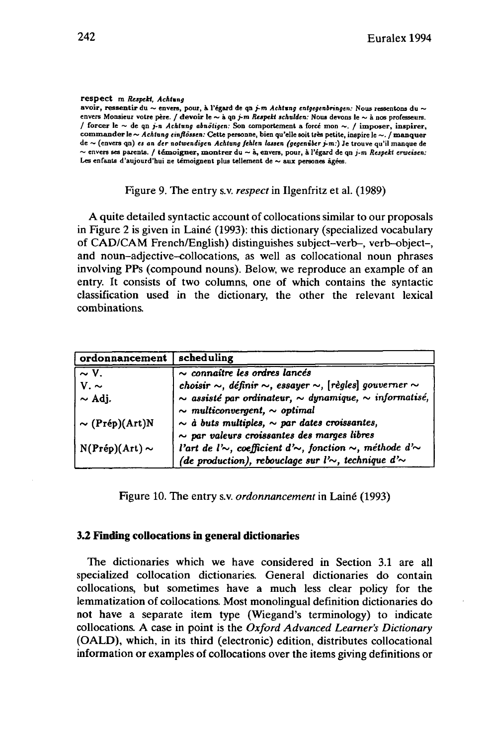#### **respect m** *Respekt, Achtung*

**avoir, ressentir du ~ envers, pour, à l'égard de qn** *j-m Achtung entgegenbringen:* **Nous ressentons du ~** envers Monsieur votre père. / devoir le  $\sim$  à qn j-m Respekt schulden: Nous devons le  $\sim$  à nos professeurs. **/ forcer le ~ de qn** *j-n Achtung abnötigen:* **Son comportement <sup>a</sup> forcé mon ~. / imposer, inspirer, commander le ~** *Achtung einflössen:* **Cette personne, bien qu'elle soit très petite, inspire le ~. / manquer de ~ (envers qn)** *es an der notwendigen Achtung fehlen lassen (gegenüberj-m:)* **Je trouve qu'il manque de** ~ envers ses parents. / témoigner, montrer du ~ à, envers, pour, à l'égard de qn j-m Respekt erweisen: **Les enfants d'aujourd'hui ne témoignent plus tellement de ~ aux persones âgées.**

Figure 9. The entry s.v. *respect* in Ilgenfritz et al. (1989)

A quite detailed syntactic account of collocations similar to our proposals in Figure 2 is given in Laine (1993): this dictionary (specialized vocabulary of CAD/CAM French/English) distinguishes subject-verb-, verb-object-, and noun-adjective-collocations, as well as collocational noun phrases involving PPs (compound nouns). Below, we reproduce an example of an entry. It consists of two columns, one of which contains the syntactic classification used in the dictionary, the other the relevant lexical combinations.

| ordonnancement              | scheduling                                                                                                                                          |
|-----------------------------|-----------------------------------------------------------------------------------------------------------------------------------------------------|
| $\overline{\sim V}$ .       | $\sim$ connaître les ordres lancés                                                                                                                  |
| $V \sim$                    | choisir $\sim$ , définir $\sim$ , essayer $\sim$ , [règles] gouverner $\sim$                                                                        |
| $\sim$ Adj.                 | $\sim$ assisté par ordinateur, $\sim$ dynamique, $\sim$ informatisé,<br>$\sim$ multiconvergent, $\sim$ optimal                                      |
| $\sim$ (Prép)(Art)N         | $\sim$ à buts multiples, $\sim$ par dates croissantes,<br>$\sim$ par valeurs croissantes des marges libres                                          |
| $N(Pr\acute{e}p)(Art) \sim$ | l'art de l' $\sim$ , coefficient d' $\sim$ , fonction $\sim$ , méthode d' $\sim$<br>(de production), rebouclage sur l' $\sim$ , technique d' $\sim$ |

Figure 10. The entry s.v. *ordonnancement* in Lainé (1993)

# **3.2 Finding collocations in general dictionaries**

The dictionaries which we have considered in Section 3.1 are all specialized collocation dictionaries. General dictionaries do contain collocations, but sometimes have a much less clear policy for the lemmatization of collocations. Most monolingual definition dictionaries do not have a separate item type (Wiegand's terminology) to indicate collocations. A case in point is the *Oxford Advanced Learner's Dictionary* (OALD), which, in its third (electronic) edition, distributes collocational information or examples of collocations over the items giving definitions or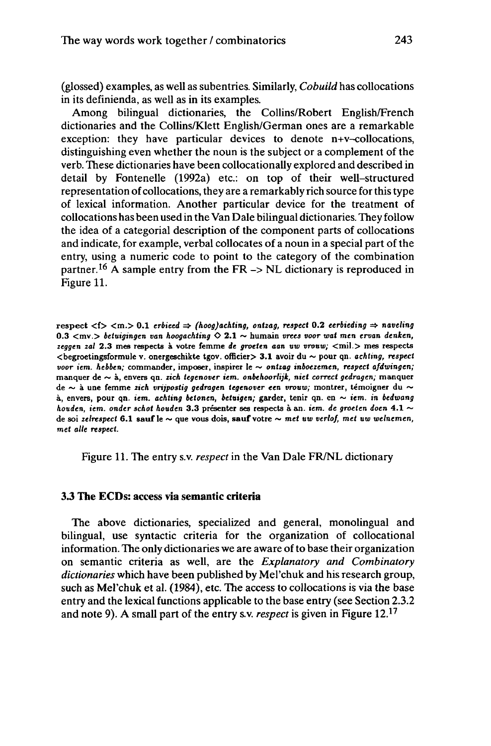(glossed) examples, as well as subentries. Similarly, *Cobuild* has collocations in its definienda, as well as in its examples.

Among bilingual dictionaries, the Collins/Robert English/French dictionaries and the Collins/Klett English/German ones are a remarkable exception: they have particular devices to denote n+v-collocations, distinguishing even whether the noun is the subject or a complement of the verb. These dictionaries have been collocationally explored and described in detail by Fontenelle (1992a) etc.: on top of their well-structured representation of collocations, they are a remarkably rich source forthistype of lexical information. Another particular device for the treatment of collocations has been used in the Van Dale bilingual dictionaries. They follow the idea of a categorial description of the component parts of collocations and indicate, for example, verbal collocates of a noun in a special part of the entry, using a numeric code to point to the category of the combination partner.<sup>16</sup> A sample entry from the FR  $\rightarrow$  NL dictionary is reproduced in Figure 11.

respect  $\langle$  f >  $\langle$  m. > 0.1 erbieed  $\Rightarrow$  *(hoog)achting, ontzag, respect* 0.2 *eerbieding*  $\Rightarrow$  *naveling* 0.3 <mv.> *beiuigingen van hoogachiing* O 2.1 ~ humain *vrees voor wat men ervan denken, zeggen zal* 2.3 mes respects à votre femme *de groeien aan* uw *vrouw;* <mil > mes respects <begroetingsformule v. onergeschikte tgov. officier> 3.1 avoir du ~ pour qn. *achting, respect voor iem. hebben;* commander, imposer, inspirer le ~ *ontzag inboezemen, respect afdwingen;* manquer de ~ à, envers qn. *zieh tegenover iem. onbehoorlijk, niet correct gedragen;* manquer de ~ à une femme *zieh vrijpostig gedragen tegenover een vrouw;* montrer, témoigner du ~ à, envers, pour qn. *iem. achting betonen, beiuigen;* garder, tenir qn. en ~ *iem.* t'n *bedwang houden, iem. onder schot houden* 3.3 présenter ses respects à an. *iem. de groeten doen* 4.1 ~ de soi *zelrespect* 6.1 sauf le ~ que vous dois, **sauf** votre ~ *met uw verlof, met* uui *welnemen, met aile respect.*

Figure 11. The entry s.v. *respect* in the Van Dale FR/NL dictionary

# **3.3 The ECDs: access via semantic criteria**

The above dictionaries, specialized and general, monolingual and bilingual, use syntactic criteria for the organization of collocational information. The only dictionaries we are aware of to base their organization on semantic criteria as well, are the *Explanatory and Combinatory dictionaries* which have been published by Mel'chuk and his research group, such as Mel'chuk et al. (1984), etc. The access to collocations is via the base entry and the lexical functions applicable to the base entry (see Section 2.3.2 and note 9). A small part of the entry s.v. *respect* is given in Figure 12.<sup>17</sup>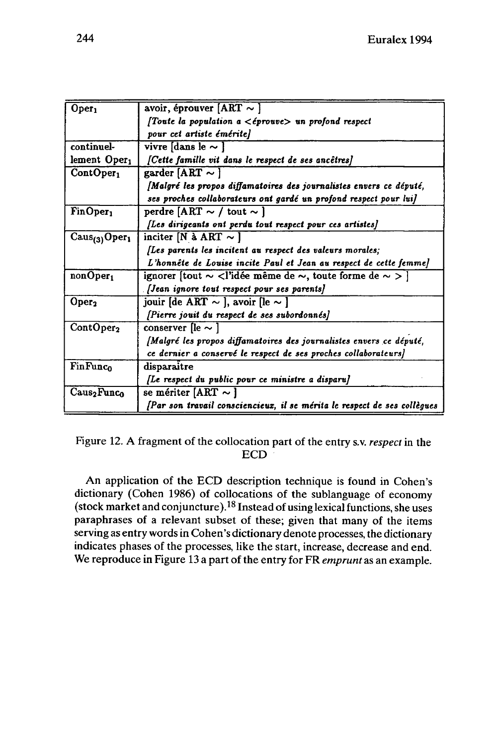| Oper <sub>1</sub>                 | avoir, éprouver $[ART \sim]$                                                                               |
|-----------------------------------|------------------------------------------------------------------------------------------------------------|
|                                   | <i>(Toute la population a <math>\lt</math>éprouve</i> ) un profond respect                                 |
|                                   | pour cet artiste émérite]                                                                                  |
| continuel-                        | vivre [dans le $\sim$ ]                                                                                    |
| lement Oper <sub>1</sub>          | [Cette famille vit dans le respect de ses ancêtres]                                                        |
| ContOper <sub>1</sub>             | garder [ART $\sim$ ]                                                                                       |
|                                   | <i>Malgré les propos diffamatoires des journalistes envers ce député,</i>                                  |
|                                   | ses proches collaborateurs ont gardé un profond respect pour lui]                                          |
| FinOper <sub>1</sub>              | perdre [ART $\sim$ / tout $\sim$ ]                                                                         |
|                                   | [Les dirigeants ont perdu tout respect pour ces artistes]                                                  |
| $\text{Caus}_{(3)} \text{Oper}_1$ | inciter [N à ART $\sim$ ]                                                                                  |
|                                   | (Les parents les incitent au respect des valeurs morales;                                                  |
|                                   | L'honnête de Louise incite Paul et Jean au respect de cette femme]                                         |
| nonOper <sub>1</sub>              | ignorer [tout $\sim$ <l'idée <math="" de="" même="">\sim, toute forme de <math>\sim</math> &gt; ]</l'idée> |
|                                   | [Jean ignore tout respect pour ses parents]                                                                |
| Oper <sub>2</sub>                 | jouir [de ART $\sim$ ], avoir [le $\sim$ ]                                                                 |
|                                   | [Pierre jouit du respect de ses subordonnés]                                                               |
| ContOper <sub>2</sub>             | conserver [le $\sim$ ]                                                                                     |
|                                   | <i>[Malgré les propos diffamatoires des journalistes envers ce député,</i>                                 |
|                                   | ce dernier a conservé le respect de ses proches collaborateurs]                                            |
| <b>FinFunco</b>                   | disparaitre                                                                                                |
|                                   | [Le respect du public pour ce ministre a disparu]                                                          |
| $\rm Caus_2Func_0$                | se mériter [ART $\sim$ ]                                                                                   |
|                                   | [Par son travail consciencieux, il se mérita le respect de ses collègues                                   |

Figure 12. A fragment of the collocation part of the entry s.v. *respect* in the ECD

An application of the ECD description technique is found in Cohen's dictionary (Cohen 1986) of collocations of the sublanguage of economy (stock market and conjuncture).<sup>18</sup> Instead of using lexical functions, she uses paraphrases of a relevant subset of these; given that many of the items serving as entry words in Cohen's dictionary denote processes, the dictionary indicates phases of the processes, like the start, increase, decrease and end. We reproduce in Figure 13 a part of the entry for FR *emprunt* as an example.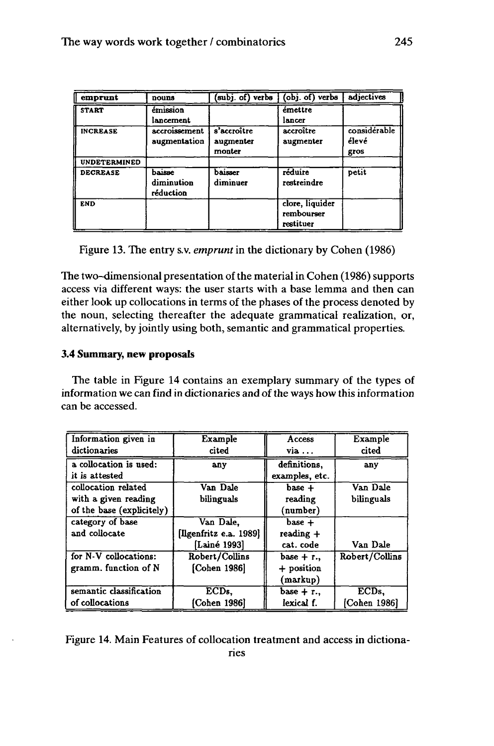| emprunt             | nouns                             | subj. of) verbs                    | (obj. of) verbs                            | adiectives                    |
|---------------------|-----------------------------------|------------------------------------|--------------------------------------------|-------------------------------|
| <b>START</b>        | émission<br>lancement             |                                    | émettre<br>lancer                          |                               |
| <b>INCREASE</b>     | accroissement<br>augmentation     | s'accroître<br>augmenter<br>monter | accroître<br>augmenter                     | considérable<br>élevé<br>gros |
| <b>UNDETERMINED</b> |                                   |                                    |                                            |                               |
| <b>DECREASE</b>     | baisse<br>diminution<br>réduction | baisser<br>diminuer                | réduire<br>restreindre                     | petit                         |
| <b>END</b>          |                                   |                                    | clore, liquider<br>rembourser<br>restituer |                               |

Figure 13. The entry s.v. *emprunt*in the dictionary by Cohen (1986)

The two-dimensional presentation of the material in Cohen (1986) supports access via different ways: the user starts with a base lemma and then can either look up collocations in terms of the phases of the process denoted by the noun, selecting thereafter the adequate grammatical realization, or, alternatively, by jointly using both, semantic and grammatical properties.

# **3.4 Summary, new proposals**

The table in Figure 14 contains an exemplary summary of the types of information we can find in dictionaries and of the ways how this information can be accessed.

| Information given in      | Example                | Access         | Example          |
|---------------------------|------------------------|----------------|------------------|
| dictionaries              | cited                  | via            | cited            |
| a collocation is used:    | any                    | definitions.   | any              |
| it is attested            |                        | examples, etc. |                  |
| collocation related       | Van Dale               | $base +$       | Van Dale         |
| with a given reading      | bilinguals             | reading        | bilinguals       |
| of the base (explicitely) |                        | (number)       |                  |
| category of base          | Van Dale.              | $base +$       |                  |
| and collocate             | [Ilgenfritz e.a. 1989] | $reading +$    |                  |
|                           | [Lainé 1993]           | cat. code      | Van Dale         |
| for N-V collocations:     | Robert/Collins         | base $+$ r.,   | Robert/Collins   |
| gramm. function of N      | [Cohen 1986]           | + position     |                  |
|                           |                        | (markup)       |                  |
| semantic classification   | ECD <sub>s</sub>       | base $+$ r.,   | ECD <sub>s</sub> |
| of collocations           | (Cohen 1986)           | lexical f.     | [Cohen 1986]     |

Figure 14. Main Features of collocation treatment and access in dictionaries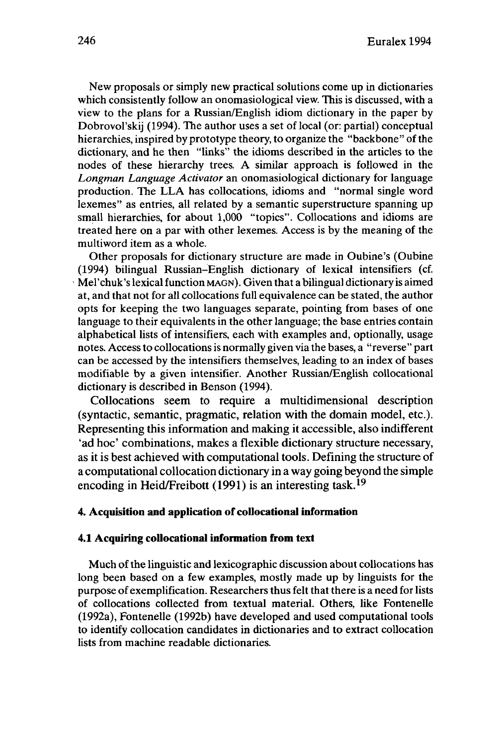New proposals or simply new practical solutions come up in dictionaries which consistently follow an onomasiological view. This is discussed, with a view to the plans for a Russian/English idiom dictionary in the paper by Dobrovol'skij (1994). The author uses a set of local (or: partial) conceptual hierarchies, inspired by prototype theory, to organize the "backbone" of the dictionary, and he then "links" the idioms described in the articles to the nodes of these hierarchy trees. A similar approach is followed in the *Longman Language Activator* an onomasiological dictionary for language production. The LLA has collocations, idioms and "normal single word lexemes" as entries, all related by a semantic superstructure spanning up small hierarchies, for about 1,000 "topics". Collocations and idioms are treated here on a par with other lexemes. Access is by the meaning of the multiword item as a whole.

Other proposals for dictionary structure are made in Oubine's (Oubine (1994) bilingual Russian-English dictionary of lexical intensifiers (cf. Mel'chuk's lexical function MAGN). Given that a bilingual dictionary is aimed at, and that not for all collocations full equivalence can be stated, the author opts for keeping the two languages separate, pointing from bases of one language to their equivalents in the other language; the base entries contain alphabetical lists of intensifiers, each with examples and, optionally, usage notes. Accessto collocations is normally given via the bases, a "reverse" part can be accessed by the intensifiers themselves, leading to an index of bases modifiable by a given intensifier. Another Russian/English collocational dictionary is described in Benson (1994).

Collocations seem to require a multidimensional description (syntactic, semantic, pragmatic, relation with the domain model, etc.). Representing this information and making it accessible, also indifferent 'ad hoc' combinations, makes a flexible dictionary structure necessary, as it is best achieved with computational tools. Defining the structure of a computational collocation dictionary in a way going beyond the simple encoding in Heid/Freibott (1991) is an interesting task.<sup>19</sup>

# **4. Acquisition and application of collocational information**

#### **4.1 Acquiring collocational information from text**

Much of the linguistic and lexicographic discussion about collocations has long been based on a few examples, mostly made up by linguists for the purpose of exemplification. Researchers thus felt that there is a need for lists of collocations collected from textual material. Others, like Fontenelle (1992a), Fontenelle (1992b) have developed and used computational tools to identify collocation candidates in dictionaries and to extract collocation lists from machine readable dictionaries.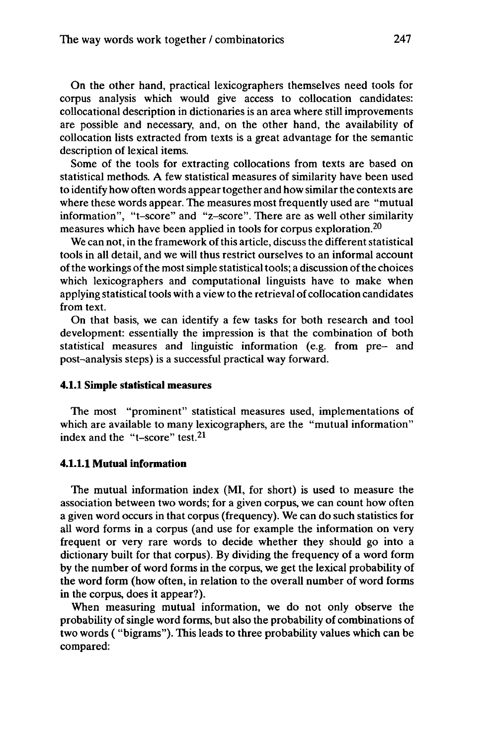On the other hand, practical lexicographers themselves need tools for corpus analysis which would give access to collocation candidates: collocational description in dictionaries is an area where still improvements are possible and necessary, and, on the other hand, the availability of collocation lists extracted from texts is a great advantage for the semantic description of lexical items.

Some of the tools for extracting collocations from texts are based on statistical methods. A few statistical measures of similarity have been used to identify how often words appeartogether and howsimilarthe contexts are where these words appear. The measures most frequently used are "mutual information", "t-score" and "z-score". There are as well other similarity measures which have been applied in tools for corpus exploration.<sup>20</sup>

We can not, in the framework of this article, discuss the different statistical tools in all detail, and we will thus restrict ourselves to an informal account of the workings of the most simple statistical tools; a discussion of the choices which lexicographers and computational linguists have to make when applying statistical tools with a view to the retrieval of collocation candidates from text.

On that basis, we can identify a few tasks for both research and tool development: essentially the impression is that the combination of both statistical measures and linguistic information (e.g. from pre- and post-analysis steps) is a successful practical way forward.

#### **4.1.1 Simple statistical measures**

The most "prominent" statistical measures used, implementations of which are available to many lexicographers, are the "mutual information" index and the "t-score" test.<sup>21</sup>

#### **4.1.1.1 Mutual information**

The mutual information index (MI, for short) is used to measure the association between two words; for a given corpus, we can count how often a given word occurs in that corpus (frequency). We can do such statistics for all word forms in a corpus (and use for example the information on very frequent or very rare words to decide whether they should go into a dictionary built for that corpus). By dividing the frequency of a word form by the number of word forms in the corpus, we get the lexical probability of the word form (how often, in relation to the overall number of word forms in the corpus, does it appear?).

When measuring mutual information, we do not only observe the probability of single word forms, but also the probability of combinations of two words ( "bigrams"). This leads to three probability values which can be compared: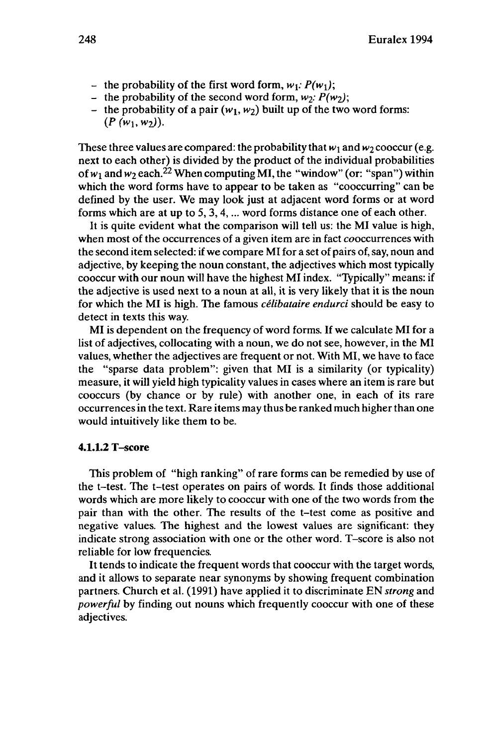- the probability of the first word form,  $w_1$ :  $P(w_1)$ ;
- the probability of the second word form,  $w_2$ :  $P(w_2)$ ;
- the probability of a pair  $(w_1, w_2)$  built up of the two word forms:  $(P(w_1, w_2)).$

These three values are compared: the probability that  $w_1$  and  $w_2$  cooccur (e.g. next to each other) is divided by the product of the individual probabilities of  $w_1$  and  $w_2$  each.<sup>22</sup> When computing MI, the "window" (or: "span") within which the word forms have to appear to be taken as "cooccurring" can be defined by the user. We may look just at adjacent word forms or at word forms which are at up to 5, 3,4,... word forms distance one of each other.

It is quite evident what the comparison will tell us: the MI value is high, when most of the occurrences of a given item are in fact cooccurrences with the second item selected: if we compare MI for a set of pairs of, say, noun and adjective, by keeping the noun constant, the adjectives which most typically cooccur with our noun will have the highest MI index. "Typically" means: if the adjective is used next to a noun at all, it is very likely that it is the noun for which the MI is high. The famous *célibataire endurci* should be easy to detect in texts this way.

MI is dependent on the frequency of word forms. If we calculate MI for a list of adjectives, collocating with a noun, we do not see, however, in the MI values, whether the adjectives are frequent or not. With MI, we have to face the "sparse data problem": given that MI is a similarity (or typicality) measure, it will yield high typicality values in cases where an item is rare but cooccurs (by chance or by rule) with another one, in each of its rare occurrences in the text. Rare items may thus be ranked much higher than one would intuitively like them to be.

## **4.1.1.2** T-score

This problem of "high ranking" of rare forms can be remedied by use of the t-test. The t-test operates on pairs of words. It finds those additional words which are more likely to cooccur with one of the two words from the pair than with the other. The results of the t-test come as positive and negative values. The highest and the lowest values are significant: they indicate strong association with one or the other word. T-score is also not reliable for low frequencies.

It tends to indicate the frequent words that cooccur with the target words, and it allows to separate near synonyms by showing frequent combination partners. Church et al. (1991) have applied it to discriminate EN *strong* and *powerful* by finding out nouns which frequently cooccur with one of these adjectives.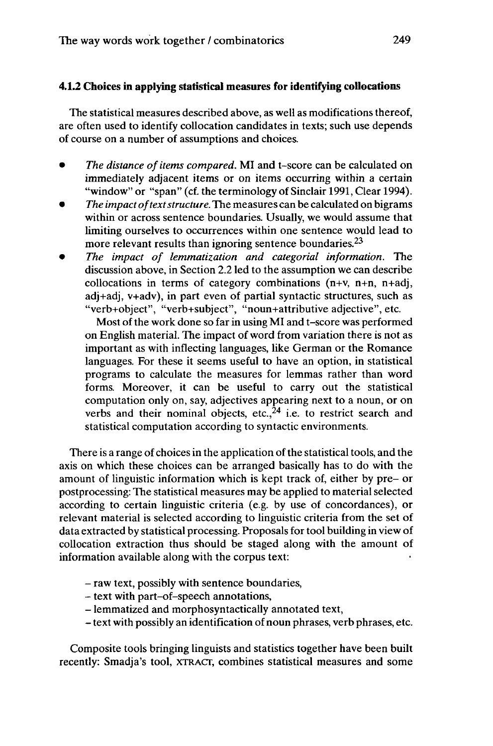# **4.1.2 Choices in applying statistical measures for identifying collocations**

The statistical measures described above, as well as modifications thereof, are often used to identify collocation candidates in texts; such use depends of course on a number of assumptions and choices.

- *The distance of items compared.* MI and t-score can be calculated on immediately adjacent items or on items occurring within a certain "window" or "span" (cf. the terminology of Sinclair 1991, Clear 1994).
- *The impact oftextstructure.* The measures can be calculated on bigrams within or across sentence boundaries. Usually, we would assume that limiting ourselves to occurrences within one sentence would lead to more relevant results than ignoring sentence boundaries.<sup>23</sup>
- *The impact of lemmatization and categorial information.* The discussion above, in Section 2.2 led to the assumption we can describe collocations in terms of category combinations (n+v, n+n, n+adj, adj+adj, v+adv), in part even of partial syntactic structures, such as "verb+object", "verb+subject", "noun+attributive adjective", etc.

Most of the work done so far in using MI and t-score was performed on English material. The impact of word from variation there is not as important as with inflecting languages, like German or the Romance languages. For these it seems useful to have an option, in statistical programs to calculate the measures for lemmas rather than word forms. Moreover, it can be useful to carry out the statistical computation only on, say, adjectives appearing next to a noun, or on verbs and their nominal objects, etc., $24$  i.e. to restrict search and statistical computation according to syntactic environments.

There is a range of choices in the application of the statistical tools, and the axis on which these choices can be arranged basically has to do with the amount of linguistic information which is kept track of, either by pre- or postprocessing: The statistical measures may be applied to material selected according to certain linguistic criteria (e.g. by use of concordances), or relevant material is selected according to linguistic criteria from the set of data extracted by statistical processing. Proposals for tool building in view of collocation extraction thus should be staged along with the amount of information available along with the corpus text:

- raw text, possibly with sentence boundaries,
- text with part-of-speech annotations,
- lemmatized and morphosyntactically annotated text,
- -text with possibly an identification of noun phrases, verb phrases, etc.

Composite tools bringing linguists and statistics together have been built recently: Smadja's tool, XTRACT, combines statistical measures and some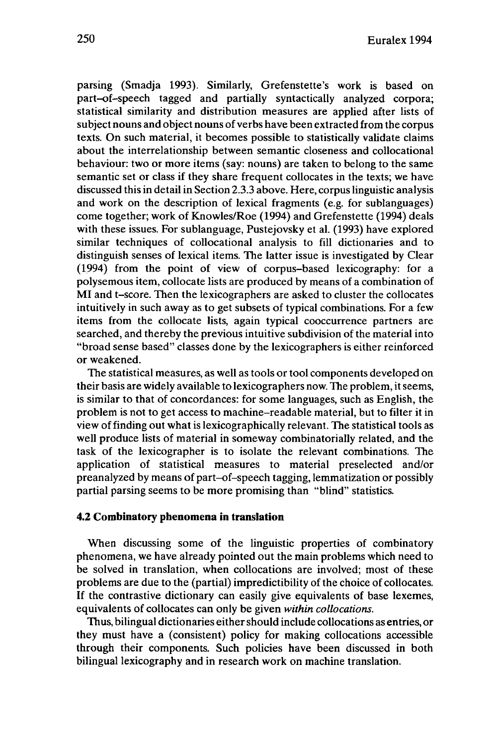parsing (Smadja 1993). Similarly, Grefenstette's work is based on part-of-speech tagged and partially syntactically analyzed corpora; statistical similarity and distribution measures are applied after lists of subject nouns and object nouns of verbs have been extracted from the corpus texts. On such material, it becomes possible to statistically validate claims about the interrelationship between semantic closeness and collocational behaviour: two or more items (say: nouns) are taken to belong to the same semantic set or class if they share frequent collocates in the texts; we have discussed this in detail in Section 2.3.3 above. Here, corpus linguistic analysis and work on the description of lexical fragments (e.g. for sublanguages) come together; work of Knowles/Roe (1994) and Grefenstette (1994) deals with these issues. For sublanguage, Pustejovsky et al. (1993) have explored similar techniques of collocational analysis to fill dictionaries and to distinguish senses of lexical items. The latter issue is investigated by Clear (1994) from the point of view of corpus-based lexicography: for a polysemous item, collocate lists are produced by means of a combination of MI and t-score. Then the lexicographers are asked to cluster the collocates intuitively in such away as to get subsets of typical combinations. For a few items from the collocate lists, again typical cooccurrence partners are searched, and thereby the previous intuitive subdivision of the material into "broad sense based" classes done by the lexicographers is either reinforced or weakened.

The statistical measures, as well as tools or tool components developed on their basis are widely available to lexicographers now. The problem, it seems, is similar to that of concordances: for some languages, such as English, the problem is not to get access to machine-readable material, but to filter it in view offinding out what is lexicographically relevant. The statistical tools as well produce lists of material in someway combinatorially related, and the task of the lexicographer is to isolate the relevant combinations. The application of statistical measures to material preselected and/or preanalyzed by means of part-of-speech tagging, lemmatization or possibly partial parsing seems to be more promising than "blind" statistics.

#### **4.2 Combinatory phenomena in translation**

When discussing some of the linguistic properties of combinatory phenomena, we have already pointed out the main problems which need to be solved in translation, when collocations are involved; most of these problems are due to the (partial) impredictibility of the choice of collocates. If the contrastive dictionary can easily give equivalents of base lexemes, equivalents of collocates can only be given *within collocations.*

Thus, bilingual dictionaries either should include collocations as entries, or they must have a (consistent) policy for making collocations accessible through their components. Such policies have been discussed in both bilingual lexicography and in research work on machine translation.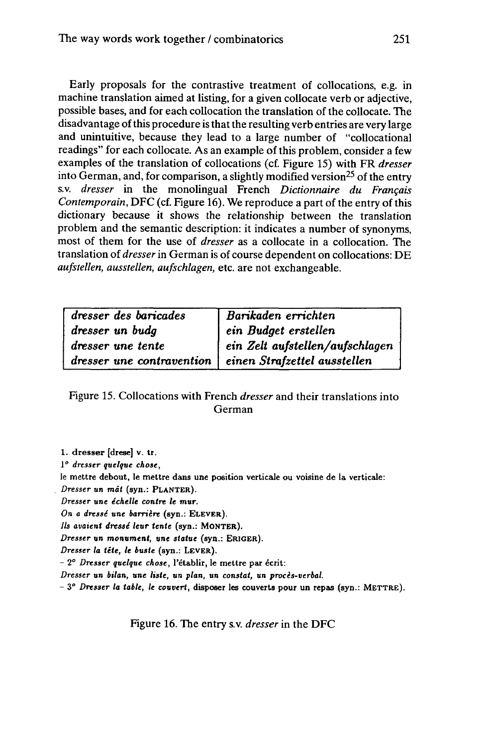Early proposals for the contrastive treatment of collocations, e.g. in machine translation aimed at listing, for a given collocate verb or adjective, possible bases, and for each collocation the translation of the collocate. The disadvantage of this procedure is that the resulting verb entries are very large and unintuitive, because they lead to a large number of "collocational readings" for each collocate. As an example of this problem, consider a few examples of the translation of collocations (cf. Figure 15) with FR *dresser* into German, and, for comparison, a slightly modified version<sup>25</sup> of the entry s.v. *dresser* in the monolingual French *Dictionnaire du Français Contemporain,* DFC (cf. Figure 16). We reproduce a part of the entry of this dictionary because it shows the relationship between the translation problem and the semantic description: it indicates a number of synonyms, most of them for the use of *dresser* as a collocate in a collocation. The translation of *dresser* in German is of course dependent on collocations: DE *aufstellen, ausstellen, aufschlagen,* etc. are not exchangeable.

| dresser des baricades | $\vert$ Barikaden errichten                              |
|-----------------------|----------------------------------------------------------|
| dresser un budg       | ein Budget erstellen                                     |
| dresser une tente     | ein Zelt aufstellen/aufschlagen                          |
|                       | dresser une contravention   einen Strafzettel ausstellen |

# Figure 15. Collocations with French *dresser* and their translations into German

**1. dresser [drese] v. tr.**

**1"** *dresser quelque chose,*

**le mettre debout, le mettre dans une position verticale ou voisine de la verticale:** *Dresser* **un** *mât* **(syn.: PLANTER).**

*Dresser* **une** *échelle contre le mur.*

*On a dressé* **une** *barrière* **(syn.: ELEVER).**

*Ils avaient dressé leur tente* **(syn.: MONTER).**

*Dresser un monument,* **une** *statue* **(syn.: ERIGER).**

*Dresser la tête, le buste* **(syn.: LEVER).**

**-** *1° Dresser quelque chose,* **l'établir, le mettre par écrit:**

*Dresser un bilan,* **une** *liste,* **un** *plan,* **un** *constat,* **un** *procès-verbal.*

*-* **3°** *Dresser la table, le couvert,* **disposer les couverts pour un repas (syn.: METTRE).**

Figure 16. The entry s.v. *dresser* in the DFC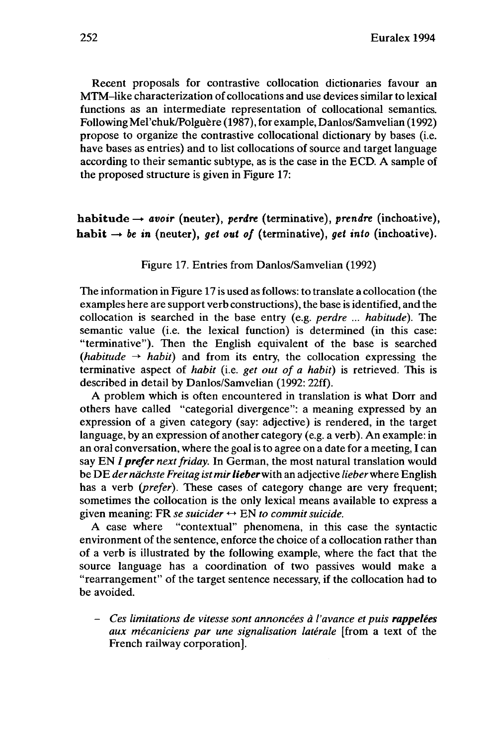Recent proposals for contrastive collocation dictionaries favour an MTM-like characterization of collocations and use devices similar to lexical functions as an intermediate representation of collocational semantics. Following Mel'chuk/Polguère (1987), for example, Danlos/Samvelian (1992) propose to organize the contrastive collocational dictionary by bases (i.e. have bases as entries) and to list collocations of source and target language according to their semantic subtype, as is the case in the ECD. A sample of the proposed structure is given in Figure 17:

 $habitude \rightarrow avoir$  (neuter), *perdre* (terminative), *prendre* (inchoative), habit  $\rightarrow$  *be in* (neuter), *get out of* (terminative), *get into* (inchoative).

Figure 17. Entries from Danlos/Samvelian (1992)

The information in Figure 17 is used as follows: to translate a collocation (the examples here are support verb constructions), the base is identified, and the collocation is searched in the base entry (e.g. *perdre ... habitude).* The semantic value (i.e. the lexical function) is determined (in this case: "terminative"). Then the English equivalent of the base is searched *(habitude*  $\rightarrow$  *habit)* and from its entry, the collocation expressing the terminative aspect of *habit* (i.e. *get out of a habit)* is retrieved. This is described in detail by Danlos/Samvelian (1992: 22ff).

A problem which is often encountered in translation is what Dorr and others have called "categorial divergence": a meaning expressed by an expression of a given category (say: adjective) is rendered, in the target language, by an expression of another category (e.g. a verb). An example: in an oral conversation, where the goal is to agree on a date for a meeting, I can say EN *I prefer next friday*. In German, the most natural translation would be DE *der nächste Freitag istmirlieberv/ith* an adjective *lieber*where English has a verb *(prefer).* These cases of category change are very frequent; sometimes the collocation is the only lexical means available to express a given meaning: FR *se suicider*  $\leftrightarrow$  EN *to commit suicide.* 

*A* case where "contextual" phenomena, in this case the syntactic environment of the sentence, enforce the choice of a collocation rather than of a verb is illustrated by the following example, where the fact that the source language has a coordination of two passives would make a "rearrangement" of the target sentence necessary, if the collocation had to be avoided.

- *Ces limitations de vitesse sont annoncées <sup>à</sup> l'avance et puis rappelées aux mécaniciens par une signalisation latérale* [from a text of the French railway corporation].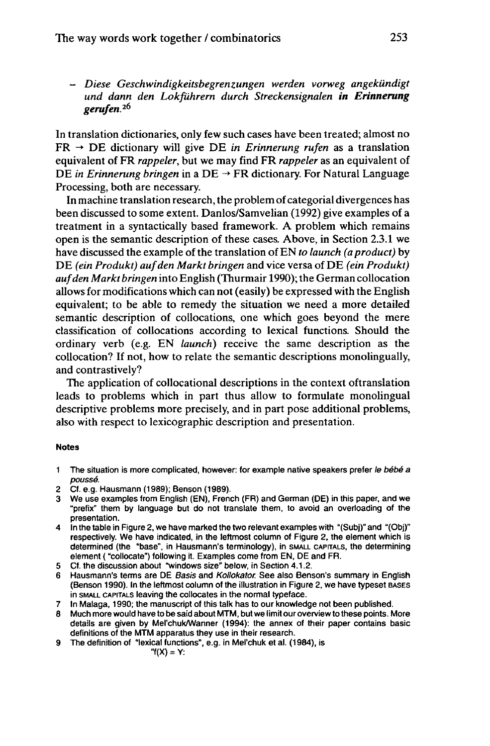- *Diese Geschwindigkeitsbegrenzungen werden vorweg angekündigt und dann den Lokführern durch Streckensignalen in Erinnerung gerufen.<sup>2</sup> ^*

In translation dictionaries, only few such cases have been treated; almost no  $FR \rightarrow DE$  dictionary will give DE *in Erinnerung rufen* as a translation equivalent of FR *rappeler,* but we may find FR *rappeler* as an equivalent of DE *in Erinnerung bringen* in a DE → FR dictionary. For Natural Language Processing, both are necessary.

In machine translation research, the problemofcategorial divergences has been discussed to some extent. Danlos/Samvelian (1992) give examples of a treatment in a syntactically based framework. A problem which remains open is the semantic description of these cases. Above, in Section 2.3.1 we have discussed the example of the translation of EN *to launch* (*a product*) by DE *(ein Produkt) aufden Markt bringen* and vice versa of DE *(ein Produkt)* auf den Markt bringen into English (Thurmair 1990); the German collocation allows for modifications which can not (easily) be expressed with the English equivalent; to be able to remedy the situation we need a more detailed semantic description of collocations, one which goes beyond the mere classification of collocations according to lexical functions. Should the ordinary verb (e.g. EN *launch)* receive the same description as the collocation? If not, how to relate the semantic descriptions monolingually, and contrastively?

The application of collocational descriptions in the context oftranslation leads to problems which in part thus allow to formulate monolingual descriptive problems more precisely, and in part pose additional problems, also with respect to lexicographic description and presentation.

#### **Notes**

- 1 The situation is more complicated, however: for example native speakers prefer le bébé a poussé.
- 2 Cf. e.g. Hausmann (1989); Benson (1989).
- 3 We use examples from English (EN), French (FR) and German (DE) in this paper, and we "prefix" them by language but do not translate them, to avoid an overloading of the presentation.
- 4 In the table in Figure 2, we have marked the two relevant examples with "(Subj)" and "(Obj)" respectively. We have indicated, in the leftmost column of Figure 2, the element which is determined (the "base", in Hausmann's terminology), in SMALL CAPITALS, the determining element ( "collocate") following it. Examples come from EN, DE and FR.
- 5 Cf. the discussion about "windows size" below, in Section 4.1.2.
- 6 Hausmann's terms are DE Basis and Kollokator. See also Benson's summary in English (Benson 1990). In the leftmost column of the illustration in Figure 2, we have typeset BASES in SMALL CAPITALS leaving the collocates in the normal typeface.
- 7 In Malaga, 1990; the manuscript of this talk has to our knowledge not been published.
- 8 Much more would have to be said about MTM, but we limit our overview to these points. More details are given by Mel'chuk/Wanner (1994): the annex of their paper contains basic definitions of the MTM apparatus they use in their research.
- 9 The definition of "lexical functions", e.g. in Mel'chuk et al. (1984), is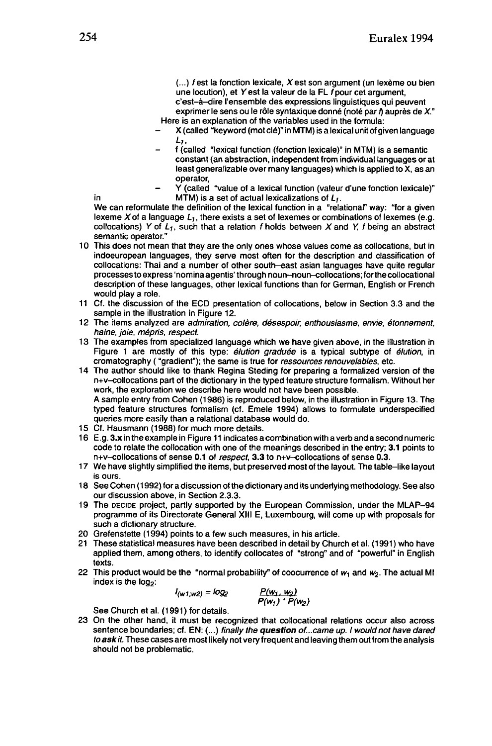$(...)$  f est la fonction lexicale, X est son argument (un lexème ou bien une locution), et  $Y$  est la valeur de la FL  $f$  pour cet argument,

c'est-à-dire l'ensemble des expressions linguistiques qui peuvent exprimer le sens ou le rôle syntaxique donné (noté par  $\hbar$  auprès de X." Here is an explanation of the variables used in the formula:

- X (called "keyword (mot clé)" in MTM) is a lexical unit of given language **Li.**
- <sup>f</sup> (called "lexical function (fonction lexicale)" in MTM) is <sup>a</sup> semantic constant (an abstraction, independent from individual languages or at least generalizable over many languages) which is applied to X, as an operator,
- Y (called "value of a lexical function (valeur d'une fonction lexicale)" in  $MTM$ ) is a set of actual lexicalizations of  $L_1$ .

We can reformulate the definition of the lexical function in a "relational" way: "for a given lexeme X of a language  $L_{\textsf{f}},$  there exists a set of lexemes or combinations of lexemes (e.g. collocations) Y of  $L_1$ , such that a relation f holds between X and Y, f being an abstract semantic operator."

- 10 This does not mean that they are the only ones whose values come as collocations, but in indoeuropean languages, they serve most often for the description and classification of collocations: Thai and a number of other south-east asian languages have quite regular processes to express 'nomina agentis' through noun-noun-collocations; forthe collocational description of these languages, other lexical functions than for German, English or French would play a role.
- <sup>11</sup> Cf. the discussion of the ECD presentation of collocations, below in Section 3.3 and the sample in the illustration in Figure 12.
- 12 The items analyzed are admiration, colère, désespoir, enthousiasme, envie, étonnement, haine, joie, mépris, respect.
- 13 The examples from specialized language which we have given above, in the illustration in Figure 1 are mostly of this type: *élution graduée* is a typical subtype of *élution*, in cromatography ( "gradient"); the same is true for ressources renouvelables, etc.
- 14 The author should like to thank Regina Steding for preparing a formalized version of the n+v-collocations part of the dictionary in the typed feature structure formalism. Without her work, the exploration we describe here would not have been possible. A sample entry from Cohen (1986) is reproduced below, in the illustration in Figure 13. The typed feature structures formalism (cf. Emele 1994) allows to formulate underspecified
- queries more easily than a relational database would do.
- 15 Cf. Hausmann (1988) for much more details.
- 16 E.g. 3.x in the example in Figure <sup>11</sup> indicates a combination with a verb and a second numeric code to relate the collocation with one of the meanings described in the entry; 3.1 points to n+v-collocations of sense 0.1 of respect, 3.3 to n+v-collocations of sense 0.3.
- 17 We have slightly simplified the items, but preserved most of the layout. The table-like layout is ours.
- 18 See Cohen (1992) for a discussion of the dictionary and its underlying methodology. See also our discussion above, in Section 2.3.3.
- 19 The DECIDE project, partly supported by the European Commission, under the MLAP-94 programme of its Directorate General XIII E, Luxembourg, will come up with proposals for such a dictionary structure.
- 20 Grefenstette (1994) points to a few such measures, in his article.
- 21 These statistical measures have been described in detail by Church et al. (1991) who have applied them, among others, to identify collocates of "strong" and of "powerful" in English texts.
- 22 This product would be the "normal probability" of coocurrence of  $w_1$  and  $w_2$ . The actual MI index is the  $log<sub>2</sub>$ :

$$
I_{(w1;w2)} = log_2 \t P(w_1, w_2) P(w_1) \cdot P(w_2)
$$

See Church et al. (1991) for details.

23 On the other hand, it must be recognized that collocational relations occur also across sentence boundaries; cf. EN: (...) finally the question of...came up. I would not have dared to ask it. These cases are most likely not very frequent and leaving them out from the analysis should not be problematic.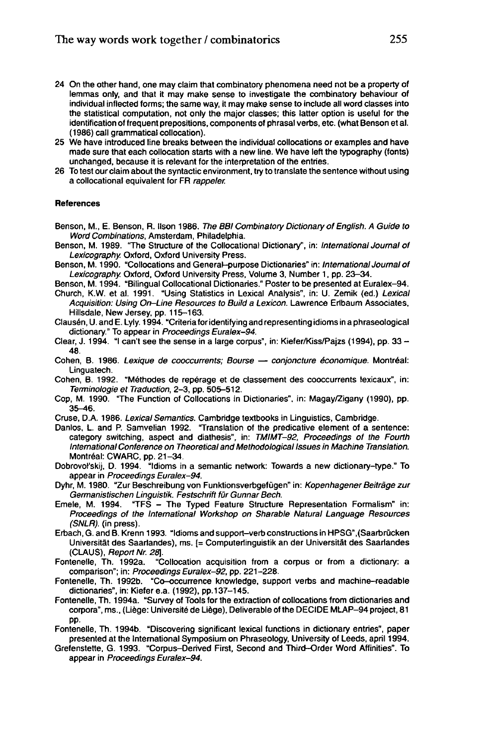- 24 On the other hand, one may claim that combinatory phenomena need not be a property of lemmas only, and that it may make sense to investigate the combinatory behaviour of individual inflected forms; the same way, it may make sense to include all word classes into the statistical computation, not only the major classes; this latter option is useful for the identification of frequent prepositions, components of phrasal verbs, etc. (what Benson et al. (1986) call grammatical collocation).
- 25 We have introduced line breaks between the individual collocations or examples and have made sure that each collocation starts with a new line. We have left the typography (fonts) unchanged, because it is relevant for the interpretation of the entries.
- 26 To test our claim about the syntactic environment, try to translate the sentence without using a collocational equivalent for FR rappeler.

#### **References**

- Benson, M., E. Benson, R. Ilson 1986. The BBI Combinatory Dictionary of English. A Guide to Word Combinations, Amsterdam, Philadelphia.
- Benson, M. 1989. "The Structure of the Collocational Dictionary", in: International Journal of Lexicography. Oxford, Oxford University Press.
- Benson, M. 1990. "Collocations and General-purpose Dictionaries" in: International Journal of Lexicography. Oxford, Oxford University Press, Volume 3, Number 1, pp. 23-34.
- Benson, M. 1994. "Bilingual Collocational Dictionaries." Poster to be presented at Euralex-94.
- Church, K.W. et al. 1991. "Using Statistics in Lexical Analysis", in: U. Zemik (ed.) Lexical Acquisition: Using On-Line Resources to Build a Lexicon. Lawrence Erlbaum Associates, Hillsdale, New Jersey, pp. 115-163.
- Clausen, U. and E. Lyly. 1994. "Criteria for identifying and representing idioms in a phraseological dictionary." To appear in Proceedings Euralex-94.
- Clear, J. 1994. "I can't see the sense in <sup>a</sup> large corpus", in: Kiefer/Kiss/Pajzs (1994), pp. <sup>33</sup> 48.
- Cohen, B. 1986. Lexique de cooccurrents; Bourse conjoncture économique. Montréal: Linguatech.
- Cohen, B. 1992. "Méthodes de repérage et de classement des cooccurrents lexicaux", in: Terminologie et Traduction, 2-3, pp. 505-512.
- Cop, M. 1990. "The Function of Collocations in Dictionaries", in: Magay/Zigany (1990), pp. 35-46.
- Cruse, D.A. 1986. Lexical Semantics. Cambridge textbooks in Linguistics, Cambridge.
- Danlos, L. and P. Samvelian 1992. "Translation of the predicative element of a sentence: category switching, aspect and diathesis", in: TMIMT-92, Proceedings of the Fourth International Conference on Theoretical and Methodological Issues in Machine Translation. Montréal: CWARC, pp. 21-34.
- Dobrovol'skij, D. 1994. "Idioms in a semantic network: Towards a new dictionary-type." To appear in Proceedings Euralex-94.
- Dyhr, M. 1980. "Zur Beschreibung von Funktionsverbgefügen" in: Kopenhagener Beiträge zur Germanistischen Linguistik. Festschrift für Gunnar Bech.
- Emele, M. 1994. "TFS The Typed Feature Structure Representation Formalism" in: Proceedings of the International Workshop on Sharable Natural Language Resources (SNLR). (in press).
- Erbach, G. and B. Krenn 1993. "Idioms and support-verb constructions in HPSG",(Saarbrücken Universität des Saarlandes), ms. [= Computerlinguistik an der Universität des Saartandes (CLAUS), Report Nr. 28].<br>Fontenelle, Th. 1992a. "C
- "Collocation acquisition from a corpus or from a dictionary: a comparison"; in: Proceedings Euralex-92, pp. 221-228.
- Fontenelle, Th. 1992b. "Co-occurrence knowledge, support verbs and machine-readable dictionaries", in: Kiefer e.a. (1992), pp. 137-145.
- Fontenelle, Th. 1994a. "Survey of Tools for the extraction of collocations from dictionaries and corpora", ms., (Liège: Université de Liège), Deliverable of the DECIDE MLAP-94 project, 81 pp.
- Fontenelle, Th. 1994b. "Discovering significant lexical functions in dictionary entries", paper presented at the International Symposium on Phraseology, University of Leeds, april 1994.
- Grefenstette, G. 1993. "Corpus-Derived First, Second and Third-Order Word Affinities". To appear in Proceedings Euralex-94.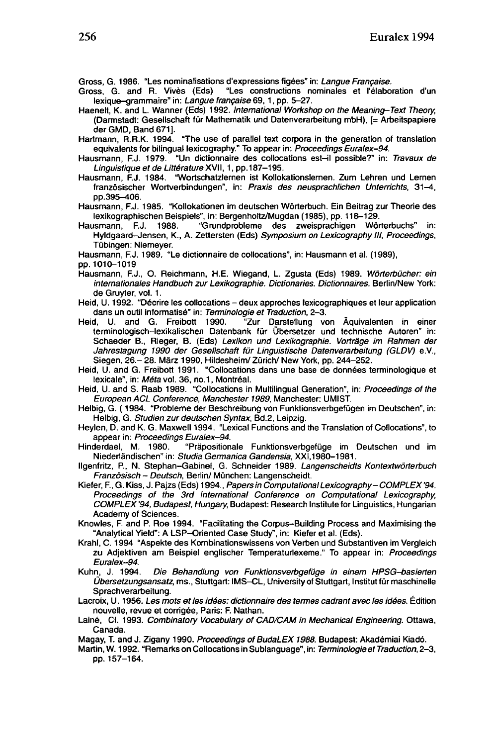Gross, G. 1986. "Les nominalisations d'expressions figées" in: Langue Française.<br>Gross. G. and R. Vivès (Eds) "Les constructions nominales et l'élabo

- "Les constructions nominales et l'élaboration d'un lexique-grammaire" in: Langue française 69,1, pp. 5-27.
- Haenelt, K. and L. Wanner (Eds) 1992. International Workshop on the Meaning-Text Theory. (Dannstadt: Gesellschaft für Mathematik und Datenverarbeitung mbH), [= Arbeitspapiere derGMD, Band 671].
- Hartmann, R.R.K. 1994. "The use of parallel text corpora in the generation of translation equivalents for bilingual lexicography." To appear in: Proceedings Euralex-94.
- Hausmann, F.J. 1979. "Un dictionnaire des collocations est-il possible?" in: Travaux de Linguistique et de Littérature XVII, 1, pp.187-195.
- Hausmann, F.J. 1984. "Wortschatzlernen ist Kollokationslernen. Zum Lehren und Lernen französischer Wortverbindungen", in: Praxis des neusprachlichen Unterrichts, 31-4, pp.395-406.

Hausmann, F.J. 1985. "Kollokationen im deutschen Wörterbuch. Ein Beitrag zur Theorie des lexikographischen Beispiels", in: Bergenholtz/Mugdan (1985), pp. 118-129.

Hausmann, F.J. 1988. "Grundprobleme des zweisprachigen Wörterbuchs" in: Hyldgaard-Jensen, K., A. Zettersten (Eds) Symposium on Lexicography III, Proceedings, Tübingen: Niemeyer.

Hausmann, F.J. 1989. "Le dictionnaire de collocations", in: Hausmann et al. (1989),

- Hausmann, F.J., O. Reichmann, H.E. Wiegand, L. Zgusta (Eds) 1989. Wörterbücher: ein internationales Handbuch zur Lexikographie. Dictionaries. Dictionnaires. Berlin/New York: de Gruyter, vol. 1.
- Heid, U. 1992. "Décrire les collocations deux approches lexicographiques et leur application dans un outil informatisé" in: Terminologie et Traduction, 2-3.<br>Heid, U. and G. Freibott 1990. "Zur Darstellung vo
- "Zur Darstellung von Äquivalenten in einer terminologisch-lexikalischen Datenbank für Übersetzer und technische Autoren" in: Schaeder B., Rieger, B. (Eds) Lexikon und Lexikographie. Vorträge im Rahmen der Jahrestagung 1990 der Gesellschaft für Linguistische Datenverarbeitung (GLDV) e.V., Siegen, 26- 28. März 1990, Hildesheim/ Zürich/ New York, pp. 244-252.
- Heid, U. and G. Freibott 1991. "Collocations dans une base de données terminologique et lexicale", in: Méta vol. 36, no.1, Montréal.
- Heid, U. and S. Raab 1989. "Collocations in Multilingual Generation", in: Proceedings of the European ACL Conference, Manchester 1989, Manchester: UMIST.
- Helbig, G. ( 1984. "Probleme der Beschreibung von Funktionsverbgefügen im Deutschen", in: Heibig, G. Studien zur deutschen Syntax, Bd.2, Leipzig.
- Heylen, D. and K. G. Maxwell 1994. "Lexical Functions and the Translation of Collocations", to
- appear in: Proceedings Euralex-94.<br>Hinderdael, M. 1980. "Präposition "Präpositionale Funktionsverbgefüge im Deutschen und im Niederländischen" in: Studia Germanica Gandensia, XXI,1980-1981.
- Ilgenfritz, P, N. Stephan-Gabinel, G. Schneider 1989. Langenscheidts Kontextwörterbuch Französisch - Deutsch, Berlin/ München: Langenscheidt.
- Kiefer, F., G. Kiss, J. Pajzs (Eds) 1994., Papers in Computational Lexicography-COMPLEX '94. Proceedings of the 3rd International Conference on Computational Lexicography, COMPLEX '94, Budapest, Hungary, Budapest: Research Institute for Linguistics, Hungarian Academy of Sciences.
- Knowles, F. and P. Roe 1994. "Facilitating the Corpus-Building Process and Maximising the "Analytical Yield": A LSP-Oriented Case Study", in: Kiefer et al. (Eds).
- Krahl, C. 1994 "Aspekte des Kombinationswissens von Verben und Substantiven im Vergleich zu Adjektiven am Beispiel englischer Temperaturlexeme." To appear in: Proceedings Euralex-94.
- Kuhn, J. 1994. Die Behandlung von Funktionsverbgefüge in einem HPSG-basierten Übersetzungsansatz, ms., Stuttgart: IMS-CL, University of Stuttgart, Institut für maschinelle Sprachverarbeitung.
- Lacroix, U. 1956. Les mots et les idées: dictionnaire des termes cadrant avec les idées. Édition nouvelle, revue et corrigée, Paris: F. Nathan.
- Lainé, Cl. 1993. Combinatory Vocabulary of CAD/CAM in Mechanical Engineering. Ottawa, Canada.
- Magay, T. and J. Zigany 1990. Proceedings of BudaLEX 1988. Budapest: Akadémiai Kiadó.
- Martin, W. 1992. "Remarks on Collocations in Sublanguage", in: Terminologie et Traduction, 2-3, pp. 157-164.

pp. 1010-1019